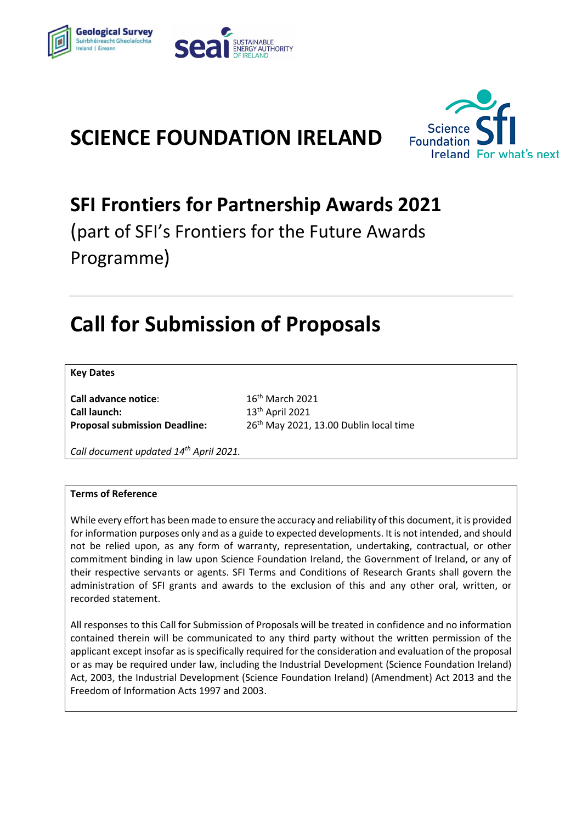

# **SCIENCE FOUNDATION IRELAND**



# **SFI Frontiers for Partnership Awards 2021**

(part of SFI's Frontiers for the Future Awards Programme)

# **Call for Submission of Proposals**

#### **Key Dates**

**Call advance notice:** 16<sup>th</sup> March 2021 **Call launch:** 

 $13<sup>th</sup>$  April 2021 **Proposal submission Deadline:** 26th May 2021, 13.00 Dublin local time

*Call document updated 14th April 2021.*

#### **Terms of Reference**

While every effort has been made to ensure the accuracy and reliability of this document, it is provided for information purposes only and as a guide to expected developments. It is not intended, and should not be relied upon, as any form of warranty, representation, undertaking, contractual, or other commitment binding in law upon Science Foundation Ireland, the Government of Ireland, or any of their respective servants or agents. SFI Terms and Conditions of Research Grants shall govern the administration of SFI grants and awards to the exclusion of this and any other oral, written, or recorded statement.

All responses to this Call for Submission of Proposals will be treated in confidence and no information contained therein will be communicated to any third party without the written permission of the applicant except insofar as is specifically required for the consideration and evaluation of the proposal or as may be required under law, including the Industrial Development (Science Foundation Ireland) Act, 2003, the Industrial Development (Science Foundation Ireland) (Amendment) Act 2013 and the Freedom of Information Acts 1997 and 2003.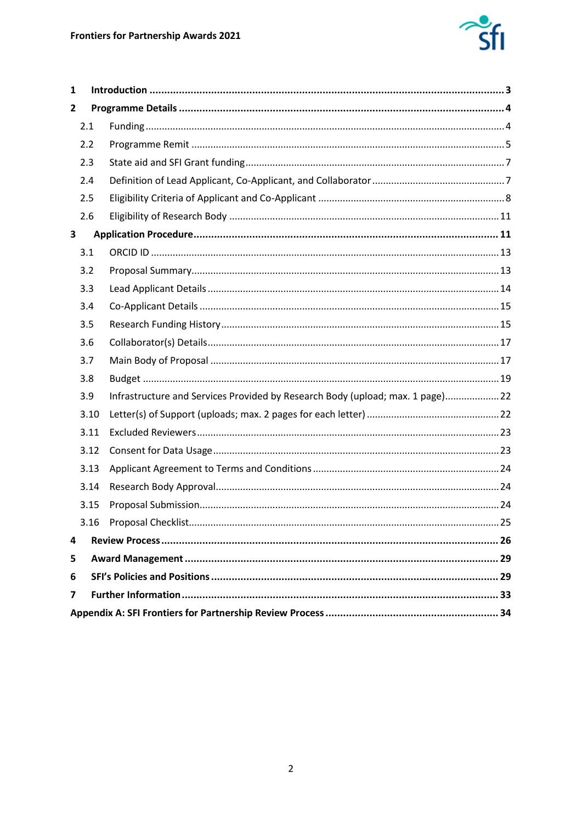

| $\mathbf{1}$            |      |                                                                               |  |  |
|-------------------------|------|-------------------------------------------------------------------------------|--|--|
| 2                       |      |                                                                               |  |  |
|                         | 2.1  |                                                                               |  |  |
|                         | 2.2  |                                                                               |  |  |
|                         | 2.3  |                                                                               |  |  |
|                         | 2.4  |                                                                               |  |  |
|                         | 2.5  |                                                                               |  |  |
|                         | 2.6  |                                                                               |  |  |
| 3                       |      |                                                                               |  |  |
|                         | 3.1  |                                                                               |  |  |
|                         | 3.2  |                                                                               |  |  |
|                         | 3.3  |                                                                               |  |  |
|                         | 3.4  |                                                                               |  |  |
|                         | 3.5  |                                                                               |  |  |
|                         | 3.6  |                                                                               |  |  |
|                         | 3.7  |                                                                               |  |  |
|                         | 3.8  |                                                                               |  |  |
|                         | 3.9  | Infrastructure and Services Provided by Research Body (upload; max. 1 page)22 |  |  |
|                         | 3.10 |                                                                               |  |  |
|                         | 3.11 |                                                                               |  |  |
|                         | 3.12 |                                                                               |  |  |
|                         | 3.13 |                                                                               |  |  |
|                         | 3.14 |                                                                               |  |  |
|                         | 3.15 |                                                                               |  |  |
|                         |      |                                                                               |  |  |
| 4                       |      |                                                                               |  |  |
| 5                       |      |                                                                               |  |  |
| 6                       |      |                                                                               |  |  |
| $\overline{\mathbf{z}}$ |      |                                                                               |  |  |
|                         |      |                                                                               |  |  |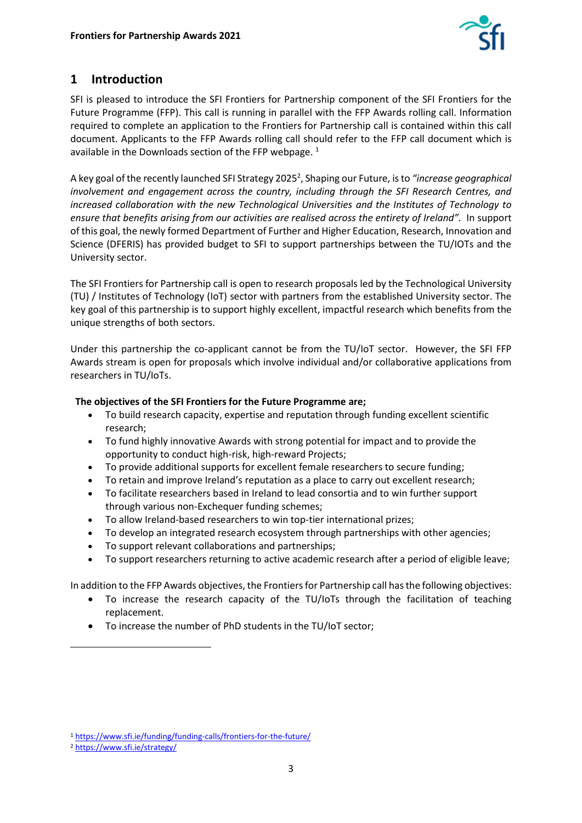

# <span id="page-2-0"></span>**1 Introduction**

SFI is pleased to introduce the SFI Frontiers for Partnership component of the SFI Frontiers for the Future Programme (FFP). This call is running in parallel with the FFP Awards rolling call. Information required to complete an application to the Frontiers for Partnership call is contained within this call document. Applicants to the FFP Awards rolling call should refer to the FFP call document which is available in the Downloads section of the FFP webpage.<sup>1</sup>

A key goal of the recently launched SFI Strategy 2025<sup>2</sup>, Shaping our Future, is to "*increase geographical involvement and engagement across the country, including through the SFI Research Centres, and increased collaboration with the new Technological Universities and the Institutes of Technology to ensure that benefits arising from our activities are realised across the entirety of Ireland".* In support of this goal, the newly formed Department of Further and Higher Education, Research, Innovation and Science (DFERIS) has provided budget to SFI to support partnerships between the TU/IOTs and the University sector.

The SFI Frontiers for Partnership call is open to research proposals led by the Technological University (TU) / Institutes of Technology (IoT) sector with partners from the established University sector. The key goal of this partnership is to support highly excellent, impactful research which benefits from the unique strengths of both sectors.

Under this partnership the co-applicant cannot be from the TU/IoT sector. However, the SFI FFP Awards stream is open for proposals which involve individual and/or collaborative applications from researchers in TU/IoTs.

## **The objectives of the SFI Frontiers for the Future Programme are;**

- To build research capacity, expertise and reputation through funding excellent scientific research;
- To fund highly innovative Awards with strong potential for impact and to provide the opportunity to conduct high-risk, high-reward Projects;
- To provide additional supports for excellent female researchers to secure funding;
- To retain and improve Ireland's reputation as a place to carry out excellent research;
- To facilitate researchers based in Ireland to lead consortia and to win further support through various non-Exchequer funding schemes;
- To allow Ireland-based researchers to win top-tier international prizes;
- To develop an integrated research ecosystem through partnerships with other agencies;
- To support relevant collaborations and partnerships;
- To support researchers returning to active academic research after a period of eligible leave;

In addition to the FFP Awards objectives, the Frontiers for Partnership call has the following objectives:

- To increase the research capacity of the TU/IoTs through the facilitation of teaching replacement.
- To increase the number of PhD students in the TU/IoT sector;

<sup>1</sup> <https://www.sfi.ie/funding/funding-calls/frontiers-for-the-future/>

<sup>2</sup> <https://www.sfi.ie/strategy/>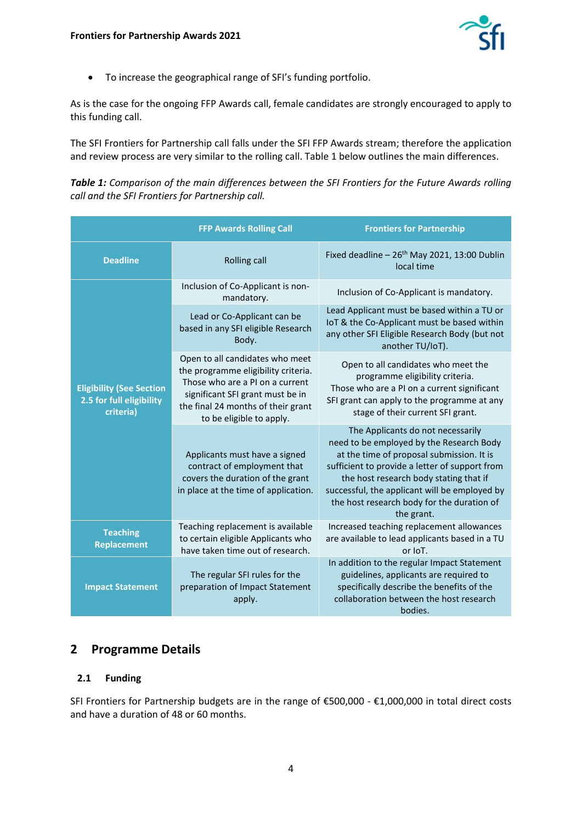

• To increase the geographical range of SFI's funding portfolio.

As is the case for the ongoing FFP Awards call, female candidates are strongly encouraged to apply to this funding call.

The SFI Frontiers for Partnership call falls under the SFI FFP Awards stream; therefore the application and review process are very similar to the rolling call. Table 1 below outlines the main differences.

*Table 1: Comparison of the main differences between the SFI Frontiers for the Future Awards rolling call and the SFI Frontiers for Partnership call.*

|                                                                          | <b>FFP Awards Rolling Call</b>                                                                                                                                                                                  | <b>Frontiers for Partnership</b>                                                                                                                                                                                                                                                                                                    |
|--------------------------------------------------------------------------|-----------------------------------------------------------------------------------------------------------------------------------------------------------------------------------------------------------------|-------------------------------------------------------------------------------------------------------------------------------------------------------------------------------------------------------------------------------------------------------------------------------------------------------------------------------------|
| <b>Deadline</b>                                                          | <b>Rolling call</b>                                                                                                                                                                                             | Fixed deadline - 26 <sup>th</sup> May 2021, 13:00 Dublin<br>local time                                                                                                                                                                                                                                                              |
|                                                                          | Inclusion of Co-Applicant is non-<br>mandatory.                                                                                                                                                                 | Inclusion of Co-Applicant is mandatory.                                                                                                                                                                                                                                                                                             |
|                                                                          | Lead or Co-Applicant can be<br>based in any SFI eligible Research<br>Body.                                                                                                                                      | Lead Applicant must be based within a TU or<br>IoT & the Co-Applicant must be based within<br>any other SFI Eligible Research Body (but not<br>another TU/IoT).                                                                                                                                                                     |
| <b>Eligibility (See Section</b><br>2.5 for full eligibility<br>criteria) | Open to all candidates who meet<br>the programme eligibility criteria.<br>Those who are a PI on a current<br>significant SFI grant must be in<br>the final 24 months of their grant<br>to be eligible to apply. | Open to all candidates who meet the<br>programme eligibility criteria.<br>Those who are a PI on a current significant<br>SFI grant can apply to the programme at any<br>stage of their current SFI grant.                                                                                                                           |
|                                                                          | Applicants must have a signed<br>contract of employment that<br>covers the duration of the grant<br>in place at the time of application.                                                                        | The Applicants do not necessarily<br>need to be employed by the Research Body<br>at the time of proposal submission. It is<br>sufficient to provide a letter of support from<br>the host research body stating that if<br>successful, the applicant will be employed by<br>the host research body for the duration of<br>the grant. |
| <b>Teaching</b><br><b>Replacement</b>                                    | Teaching replacement is available<br>to certain eligible Applicants who<br>have taken time out of research.                                                                                                     | Increased teaching replacement allowances<br>are available to lead applicants based in a TU<br>or IoT.                                                                                                                                                                                                                              |
| <b>Impact Statement</b>                                                  | The regular SFI rules for the<br>preparation of Impact Statement<br>apply.                                                                                                                                      | In addition to the regular Impact Statement<br>guidelines, applicants are required to<br>specifically describe the benefits of the<br>collaboration between the host research<br>bodies.                                                                                                                                            |

## <span id="page-3-0"></span>**2 Programme Details**

#### <span id="page-3-1"></span>**2.1 Funding**

SFI Frontiers for Partnership budgets are in the range of €500,000 - €1,000,000 in total direct costs and have a duration of 48 or 60 months.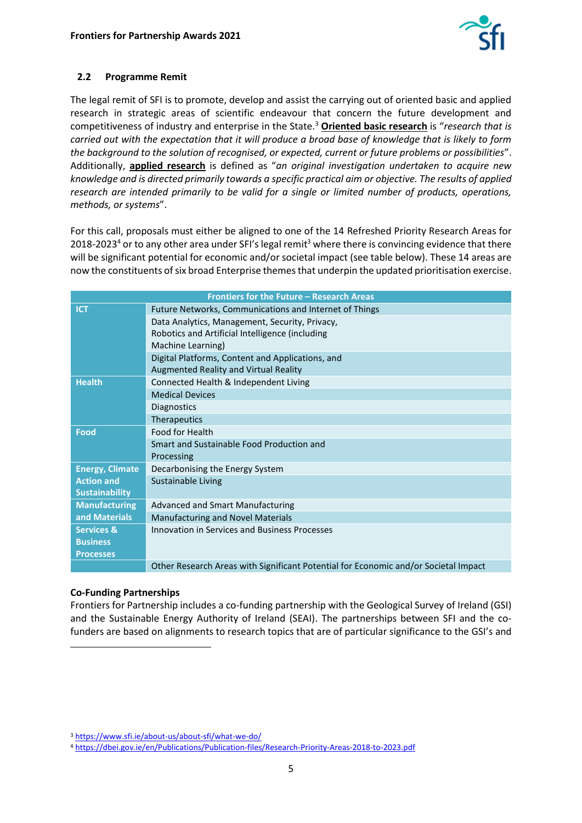

### <span id="page-4-0"></span>**2.2 Programme Remit**

The legal remit of SFI is to promote, develop and assist the carrying out of oriented basic and applied research in strategic areas of scientific endeavour that concern the future development and competitiveness of industry and enterprise in the State.<sup>3</sup> **Oriented basic research** is "*research that is carried out with the expectation that it will produce a broad base of knowledge that is likely to form the background to the solution of recognised, or expected, current or future problems or possibilities*". Additionally, **applied research** is defined as "*an original investigation undertaken to acquire new knowledge and is directed primarily towards a specific practical aim or objective. The results of applied research are intended primarily to be valid for a single or limited number of products, operations, methods, or systems*".

For this call, proposals must either be aligned to one of the 14 Refreshed Priority Research Areas for 2018-2023<sup>4</sup> or to any other area under SFI's legal remit<sup>3</sup> where there is convincing evidence that there will be significant potential for economic and/or societal impact (see table below). These 14 areas are now the constituents of six broad Enterprise themes that underpin the updated prioritisation exercise.

| Frontiers for the Future - Research Areas |                                                                                     |  |
|-------------------------------------------|-------------------------------------------------------------------------------------|--|
| <b>ICT</b>                                | Future Networks, Communications and Internet of Things                              |  |
|                                           | Data Analytics, Management, Security, Privacy,                                      |  |
|                                           | Robotics and Artificial Intelligence (including                                     |  |
|                                           | Machine Learning)                                                                   |  |
|                                           | Digital Platforms, Content and Applications, and                                    |  |
|                                           | Augmented Reality and Virtual Reality                                               |  |
| <b>Health</b>                             | Connected Health & Independent Living                                               |  |
|                                           | <b>Medical Devices</b>                                                              |  |
|                                           | Diagnostics                                                                         |  |
|                                           | Therapeutics                                                                        |  |
| <b>Food</b>                               | Food for Health                                                                     |  |
|                                           | Smart and Sustainable Food Production and                                           |  |
|                                           | Processing                                                                          |  |
| <b>Energy, Climate</b>                    | Decarbonising the Energy System                                                     |  |
| <b>Action and</b>                         | Sustainable Living                                                                  |  |
| <b>Sustainability</b>                     |                                                                                     |  |
| <b>Manufacturing</b>                      | <b>Advanced and Smart Manufacturing</b>                                             |  |
| and Materials                             | <b>Manufacturing and Novel Materials</b>                                            |  |
| <b>Services &amp;</b>                     | Innovation in Services and Business Processes                                       |  |
| <b>Business</b>                           |                                                                                     |  |
| <b>Processes</b>                          |                                                                                     |  |
|                                           | Other Research Areas with Significant Potential for Economic and/or Societal Impact |  |

#### **Co-Funding Partnerships**

Frontiers for Partnership includes a co-funding partnership with the Geological Survey of Ireland (GSI) and the Sustainable Energy Authority of Ireland (SEAI). The partnerships between SFI and the cofunders are based on alignments to research topics that are of particular significance to the GSI's and

<sup>3</sup> <https://www.sfi.ie/about-us/about-sfi/what-we-do/>

<sup>4</sup> <https://dbei.gov.ie/en/Publications/Publication-files/Research-Priority-Areas-2018-to-2023.pdf>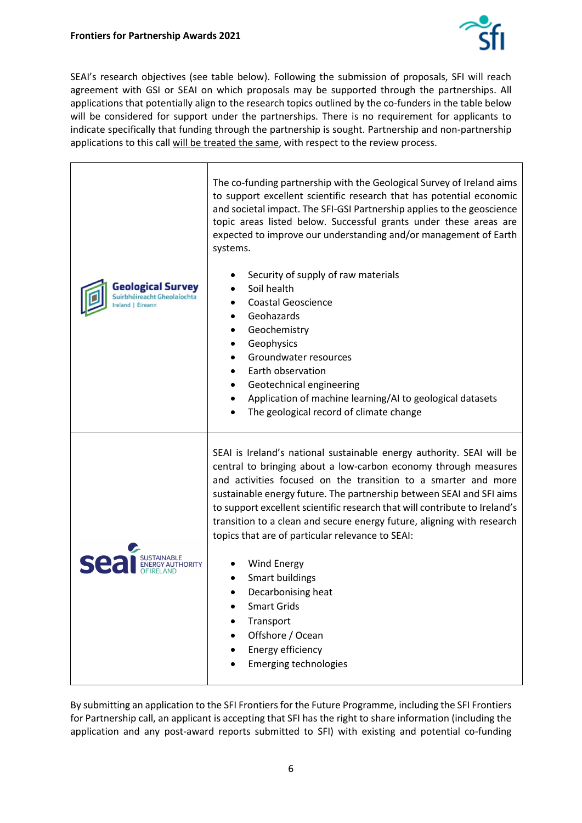

SEAI's research objectives (see table below). Following the submission of proposals, SFI will reach agreement with GSI or SEAI on which proposals may be supported through the partnerships. All applications that potentially align to the research topics outlined by the co-funders in the table below will be considered for support under the partnerships. There is no requirement for applicants to indicate specifically that funding through the partnership is sought. Partnership and non-partnership applications to this call will be treated the same, with respect to the review process.

| <b>Geological Survey</b><br>Suirbhéireacht Gheolaíochta<br>reland   Éireann | The co-funding partnership with the Geological Survey of Ireland aims<br>to support excellent scientific research that has potential economic<br>and societal impact. The SFI-GSI Partnership applies to the geoscience<br>topic areas listed below. Successful grants under these areas are<br>expected to improve our understanding and/or management of Earth<br>systems.<br>Security of supply of raw materials<br>Soil health<br><b>Coastal Geoscience</b><br>Geohazards<br>Geochemistry<br>Geophysics<br>٠<br>Groundwater resources<br>Earth observation<br>Geotechnical engineering<br>Application of machine learning/AI to geological datasets<br>The geological record of climate change |
|-----------------------------------------------------------------------------|----------------------------------------------------------------------------------------------------------------------------------------------------------------------------------------------------------------------------------------------------------------------------------------------------------------------------------------------------------------------------------------------------------------------------------------------------------------------------------------------------------------------------------------------------------------------------------------------------------------------------------------------------------------------------------------------------|
| se                                                                          | SEAI is Ireland's national sustainable energy authority. SEAI will be<br>central to bringing about a low-carbon economy through measures<br>and activities focused on the transition to a smarter and more<br>sustainable energy future. The partnership between SEAI and SFI aims<br>to support excellent scientific research that will contribute to Ireland's<br>transition to a clean and secure energy future, aligning with research<br>topics that are of particular relevance to SEAI:<br><b>Wind Energy</b><br><b>Smart buildings</b><br>Decarbonising heat<br><b>Smart Grids</b><br>Transport<br>Offshore / Ocean<br>Energy efficiency<br><b>Emerging technologies</b>                   |

By submitting an application to the SFI Frontiers for the Future Programme, including the SFI Frontiers for Partnership call, an applicant is accepting that SFI has the right to share information (including the application and any post-award reports submitted to SFI) with existing and potential co-funding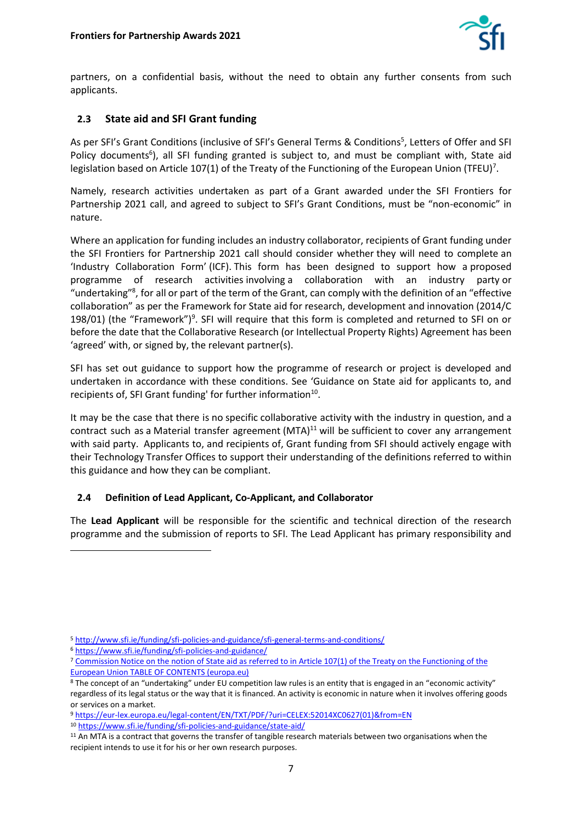

partners, on a confidential basis, without the need to obtain any further consents from such applicants.

## <span id="page-6-0"></span>**2.3 State aid and SFI Grant funding**

As per SFI's Grant Conditions (inclusive of SFI's General Terms & Conditions<sup>5</sup>, Letters of Offer and SFI Policy documents<sup>6</sup>), all SFI funding granted is subject to, and must be compliant with, State aid legislation based on Article 107(1) of the Treaty of the Functioning of the European Union (TFEU)<sup>7</sup>.

Namely, research activities undertaken as part of a Grant awarded under the SFI Frontiers for Partnership 2021 call, and agreed to subject to SFI's Grant Conditions, must be "non-economic" in nature.

Where an application for funding includes an industry collaborator, recipients of Grant funding under the SFI Frontiers for Partnership 2021 call should consider whether they will need to complete an 'Industry Collaboration Form' (ICF). This form has been designed to support how a proposed programme of research activities involving a collaboration with an industry party or "undertaking"<sup>8</sup>, for all or part of the term of the Grant, can comply with the definition of an "effective collaboration" as per the Framework for State aid for research, development and innovation (2014/C 198/01) (the "Framework")<sup>9</sup>. SFI will require that this form is completed and returned to SFI on or before the date that the Collaborative Research (or Intellectual Property Rights) Agreement has been 'agreed' with, or signed by, the relevant partner(s).

SFI has set out guidance to support how the programme of research or project is developed and undertaken in accordance with these conditions. See 'Guidance on State aid for applicants to, and recipients of, SFI Grant funding' for further information<sup>10</sup>.

It may be the case that there is no specific collaborative activity with the industry in question, and a contract such as a Material transfer agreement  $(MTA)^{11}$  will be sufficient to cover any arrangement with said party. Applicants to, and recipients of, Grant funding from SFI should actively engage with their Technology Transfer Offices to support their understanding of the definitions referred to within this guidance and how they can be compliant.

#### <span id="page-6-1"></span>**2.4 Definition of Lead Applicant, Co-Applicant, and Collaborator**

The **Lead Applicant** will be responsible for the scientific and technical direction of the research programme and the submission of reports to SFI. The Lead Applicant has primary responsibility and

<sup>9</sup> [https://eur-lex.europa.eu/legal-content/EN/TXT/PDF/?uri=CELEX:52014XC0627\(01\)&from=EN](https://eur-lex.europa.eu/legal-content/EN/TXT/PDF/?uri=CELEX:52014XC0627(01)&from=EN)

<sup>10</sup> <https://www.sfi.ie/funding/sfi-policies-and-guidance/state-aid/>

<sup>5</sup> <http://www.sfi.ie/funding/sfi-policies-and-guidance/sfi-general-terms-and-conditions/>

<sup>6</sup> <https://www.sfi.ie/funding/sfi-policies-and-guidance/>

<sup>&</sup>lt;sup>7</sup> Commission Notice on the notion of State aid as referred to in Article 107(1) of the Treaty on the Functioning of the [European Union TABLE OF CONTENTS \(europa.eu\)](https://eur-lex.europa.eu/legal-content/EN/TXT/PDF/?uri=CELEX:52016XC0719(05)&from=EN)

<sup>8</sup> The concept of an "undertaking" under EU competition law rules is an entity that is engaged in an "economic activity" regardless of its legal status or the way that it is financed. An activity is economic in nature when it involves offering goods or services on a market.

<sup>&</sup>lt;sup>11</sup> An MTA is a contract that governs the transfer of tangible research materials between two organisations when the recipient intends to use it for his or her own research purposes.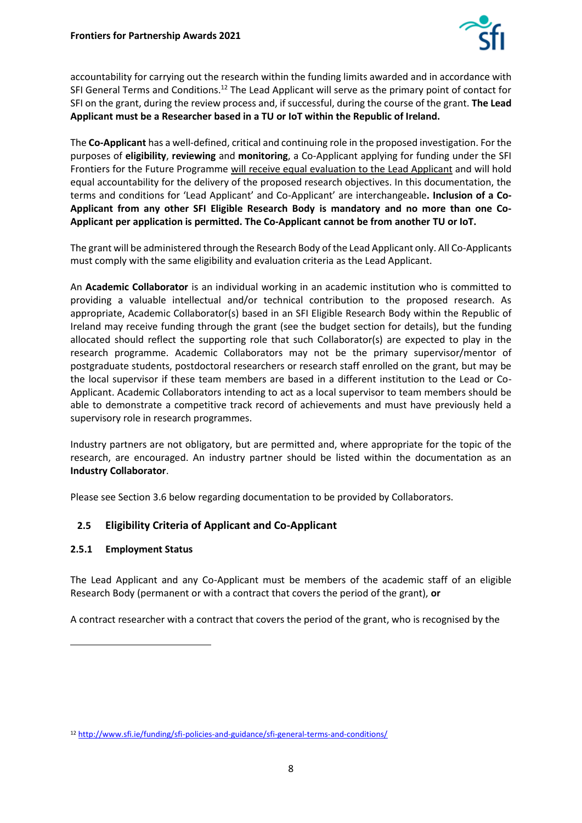

accountability for carrying out the research within the funding limits awarded and in accordance with SFI General Terms and Conditions.<sup>12</sup> The Lead Applicant will serve as the primary point of contact for SFI on the grant, during the review process and, if successful, during the course of the grant. **The Lead Applicant must be a Researcher based in a TU or IoT within the Republic of Ireland.**

The **Co-Applicant** has a well-defined, critical and continuing role in the proposed investigation. For the purposes of **eligibility**, **reviewing** and **monitoring**, a Co-Applicant applying for funding under the SFI Frontiers for the Future Programme will receive equal evaluation to the Lead Applicant and will hold equal accountability for the delivery of the proposed research objectives. In this documentation, the terms and conditions for 'Lead Applicant' and Co-Applicant' are interchangeable**. Inclusion of a Co-Applicant from any other SFI Eligible Research Body is mandatory and no more than one Co-Applicant per application is permitted. The Co-Applicant cannot be from another TU or IoT.** 

The grant will be administered through the Research Body of the Lead Applicant only. All Co-Applicants must comply with the same eligibility and evaluation criteria as the Lead Applicant.

An **Academic Collaborator** is an individual working in an academic institution who is committed to providing a valuable intellectual and/or technical contribution to the proposed research. As appropriate, Academic Collaborator(s) based in an SFI Eligible Research Body within the Republic of Ireland may receive funding through the grant (see the budget section for details), but the funding allocated should reflect the supporting role that such Collaborator(s) are expected to play in the research programme. Academic Collaborators may not be the primary supervisor/mentor of postgraduate students, postdoctoral researchers or research staff enrolled on the grant, but may be the local supervisor if these team members are based in a different institution to the Lead or Co-Applicant. Academic Collaborators intending to act as a local supervisor to team members should be able to demonstrate a competitive track record of achievements and must have previously held a supervisory role in research programmes.

Industry partners are not obligatory, but are permitted and, where appropriate for the topic of the research, are encouraged. An industry partner should be listed within the documentation as an **Industry Collaborator**.

<span id="page-7-0"></span>Please see Section 3.6 below regarding documentation to be provided by Collaborators.

#### **2.5 Eligibility Criteria of Applicant and Co-Applicant**

#### **2.5.1 Employment Status**

The Lead Applicant and any Co-Applicant must be members of the academic staff of an eligible Research Body (permanent or with a contract that covers the period of the grant), **or**

A contract researcher with a contract that covers the period of the grant, who is recognised by the

<sup>12</sup> <http://www.sfi.ie/funding/sfi-policies-and-guidance/sfi-general-terms-and-conditions/>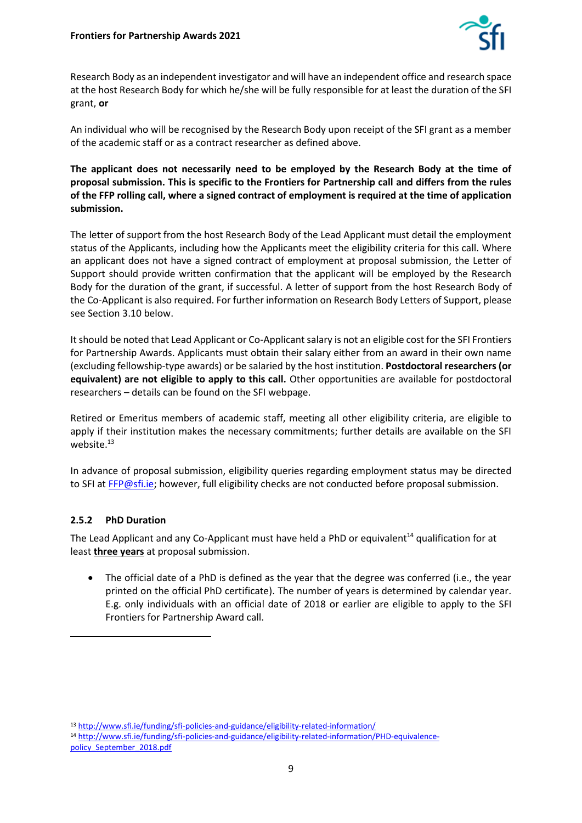

Research Body as an independent investigator and will have an independent office and research space at the host Research Body for which he/she will be fully responsible for at least the duration of the SFI grant, **or**

An individual who will be recognised by the Research Body upon receipt of the SFI grant as a member of the academic staff or as a contract researcher as defined above.

**The applicant does not necessarily need to be employed by the Research Body at the time of proposal submission. This is specific to the Frontiers for Partnership call and differs from the rules of the FFP rolling call, where a signed contract of employment is required at the time of application submission.**

The letter of support from the host Research Body of the Lead Applicant must detail the employment status of the Applicants, including how the Applicants meet the eligibility criteria for this call. Where an applicant does not have a signed contract of employment at proposal submission, the Letter of Support should provide written confirmation that the applicant will be employed by the Research Body for the duration of the grant, if successful. A letter of support from the host Research Body of the Co-Applicant is also required. For further information on Research Body Letters of Support, please see Section 3.10 below.

It should be noted that Lead Applicant or Co-Applicant salary is not an eligible cost for the SFI Frontiers for Partnership Awards. Applicants must obtain their salary either from an award in their own name (excluding fellowship-type awards) or be salaried by the host institution. **Postdoctoral researchers (or equivalent) are not eligible to apply to this call.** Other opportunities are available for postdoctoral researchers – details can be found on the SFI webpage.

Retired or Emeritus members of academic staff, meeting all other eligibility criteria, are eligible to apply if their institution makes the necessary commitments; further details are available on the SFI website.<sup>13</sup>

In advance of proposal submission, eligibility queries regarding employment status may be directed to SFI at [FFP@sfi.ie;](mailto:FFP@sfi.ie) however, full eligibility checks are not conducted before proposal submission.

#### **2.5.2 PhD Duration**

The Lead Applicant and any Co-Applicant must have held a PhD or equivalent<sup>14</sup> qualification for at least **three years** at proposal submission.

• The official date of a PhD is defined as the year that the degree was conferred (i.e., the year printed on the official PhD certificate). The number of years is determined by calendar year. E.g. only individuals with an official date of 2018 or earlier are eligible to apply to the SFI Frontiers for Partnership Award call.

<sup>13</sup> <http://www.sfi.ie/funding/sfi-policies-and-guidance/eligibility-related-information/>

<sup>14</sup> [http://www.sfi.ie/funding/sfi-policies-and-guidance/eligibility-related-information/PHD-equivalence](http://www.sfi.ie/funding/sfi-policies-and-guidance/eligibility-related-information/PHD-equivalence-policy_September_2018.pdf)[policy\\_September\\_2018.pdf](http://www.sfi.ie/funding/sfi-policies-and-guidance/eligibility-related-information/PHD-equivalence-policy_September_2018.pdf)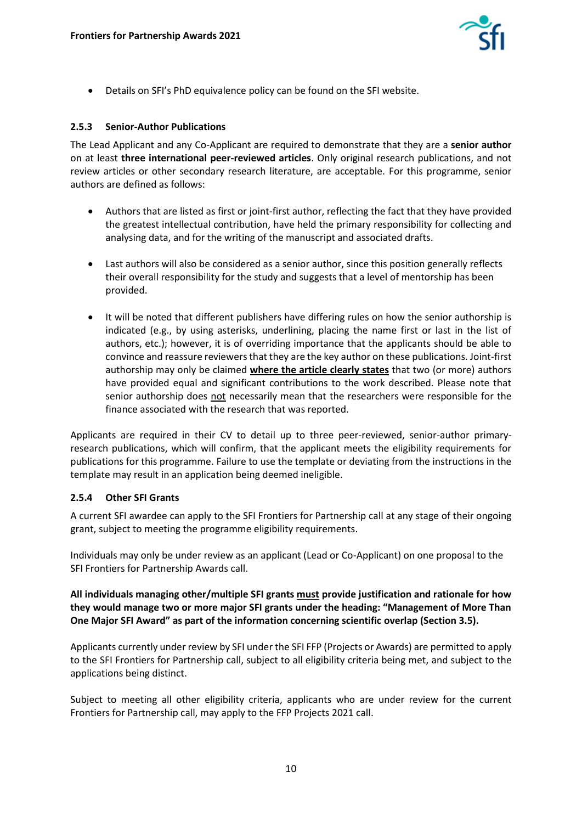

• Details on SFI's PhD equivalence policy can be found on the SFI website.

#### **2.5.3 Senior-Author Publications**

The Lead Applicant and any Co-Applicant are required to demonstrate that they are a **senior author** on at least **three international peer-reviewed articles**. Only original research publications, and not review articles or other secondary research literature, are acceptable. For this programme, senior authors are defined as follows:

- Authors that are listed as first or joint-first author, reflecting the fact that they have provided the greatest intellectual contribution, have held the primary responsibility for collecting and analysing data, and for the writing of the manuscript and associated drafts.
- Last authors will also be considered as a senior author, since this position generally reflects their overall responsibility for the study and suggests that a level of mentorship has been provided.
- It will be noted that different publishers have differing rules on how the senior authorship is indicated (e.g., by using asterisks, underlining, placing the name first or last in the list of authors, etc.); however, it is of overriding importance that the applicants should be able to convince and reassure reviewers that they are the key author on these publications. Joint-first authorship may only be claimed **where the article clearly states** that two (or more) authors have provided equal and significant contributions to the work described. Please note that senior authorship does not necessarily mean that the researchers were responsible for the finance associated with the research that was reported.

Applicants are required in their CV to detail up to three peer-reviewed, senior-author primaryresearch publications, which will confirm, that the applicant meets the eligibility requirements for publications for this programme. Failure to use the template or deviating from the instructions in the template may result in an application being deemed ineligible.

#### **2.5.4 Other SFI Grants**

A current SFI awardee can apply to the SFI Frontiers for Partnership call at any stage of their ongoing grant, subject to meeting the programme eligibility requirements.

Individuals may only be under review as an applicant (Lead or Co-Applicant) on one proposal to the SFI Frontiers for Partnership Awards call.

**All individuals managing other/multiple SFI grants must provide justification and rationale for how they would manage two or more major SFI grants under the heading: "Management of More Than One Major SFI Award" as part of the information concerning scientific overlap (Section 3.5).** 

Applicants currently under review by SFI under the SFI FFP (Projects or Awards) are permitted to apply to the SFI Frontiers for Partnership call, subject to all eligibility criteria being met, and subject to the applications being distinct.

Subject to meeting all other eligibility criteria, applicants who are under review for the current Frontiers for Partnership call, may apply to the FFP Projects 2021 call.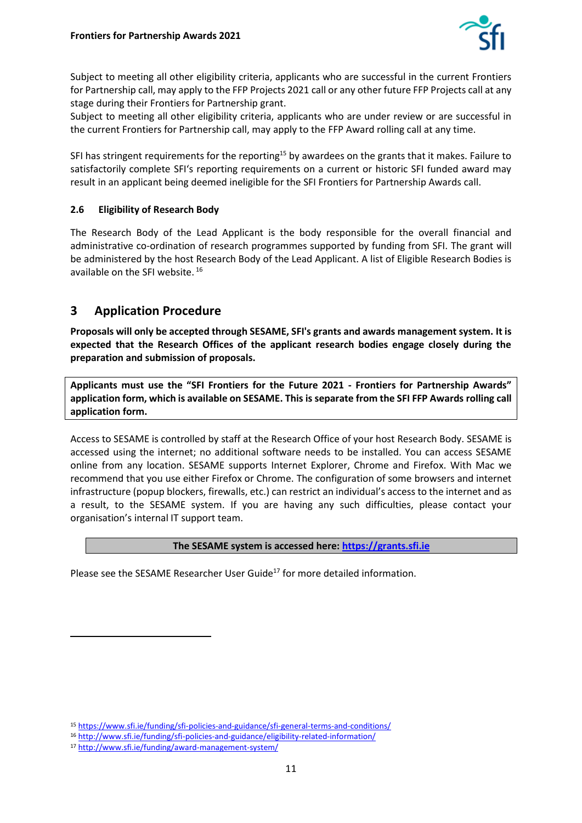

Subject to meeting all other eligibility criteria, applicants who are successful in the current Frontiers for Partnership call, may apply to the FFP Projects 2021 call or any other future FFP Projects call at any stage during their Frontiers for Partnership grant.

Subject to meeting all other eligibility criteria, applicants who are under review or are successful in the current Frontiers for Partnership call, may apply to the FFP Award rolling call at any time.

SFI has stringent requirements for the reporting<sup>15</sup> by awardees on the grants that it makes. Failure to satisfactorily complete SFI's reporting requirements on a current or historic SFI funded award may result in an applicant being deemed ineligible for the SFI Frontiers for Partnership Awards call.

#### <span id="page-10-0"></span>**2.6 Eligibility of Research Body**

The Research Body of the Lead Applicant is the body responsible for the overall financial and administrative co-ordination of research programmes supported by funding from SFI. The grant will be administered by the host Research Body of the Lead Applicant. A list of Eligible Research Bodies is available on the SFI website. <sup>16</sup>

## <span id="page-10-1"></span>**3 Application Procedure**

**Proposals will only be accepted through SESAME, SFI's grants and awards management system. It is expected that the Research Offices of the applicant research bodies engage closely during the preparation and submission of proposals.**

**Applicants must use the "SFI Frontiers for the Future 2021 - Frontiers for Partnership Awards" application form, which is available on SESAME. This is separate from the SFI FFP Awards rolling call application form.** 

Access to SESAME is controlled by staff at the Research Office of your host Research Body. SESAME is accessed using the internet; no additional software needs to be installed. You can access SESAME online from any location. SESAME supports Internet Explorer, Chrome and Firefox. With Mac we recommend that you use either Firefox or Chrome. The configuration of some browsers and internet infrastructure (popup blockers, firewalls, etc.) can restrict an individual's access to the internet and as a result, to the SESAME system. If you are having any such difficulties, please contact your organisation's internal IT support team.

#### **The SESAME system is accessed here: [https://grants.sfi.ie](https://grants.sfi.ie/)**

Please see the SESAME Researcher User Guide<sup>17</sup> for more detailed information.

<sup>15</sup> <https://www.sfi.ie/funding/sfi-policies-and-guidance/sfi-general-terms-and-conditions/>

<sup>16</sup> <http://www.sfi.ie/funding/sfi-policies-and-guidance/eligibility-related-information/>

<sup>17</sup> <http://www.sfi.ie/funding/award-management-system/>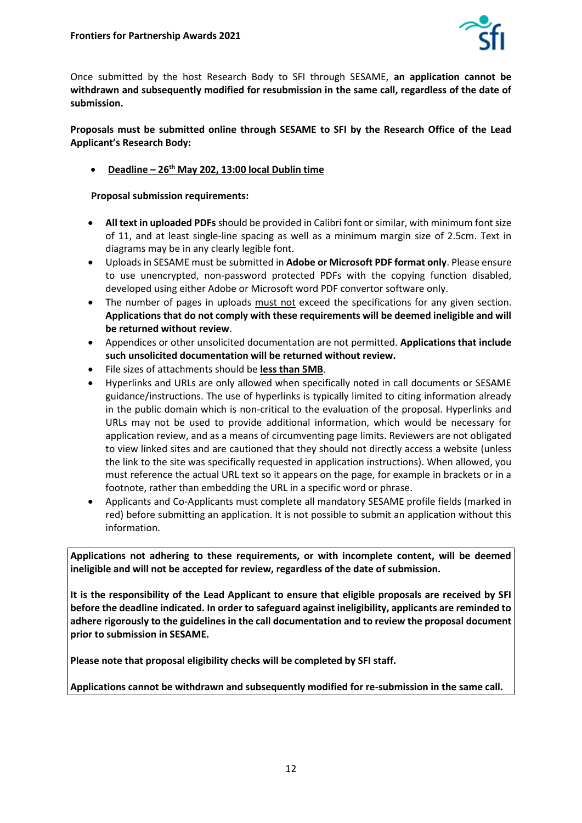

Once submitted by the host Research Body to SFI through SESAME, **an application cannot be withdrawn and subsequently modified for resubmission in the same call, regardless of the date of submission.**

**Proposals must be submitted online through SESAME to SFI by the Research Office of the Lead Applicant's Research Body:**

• **Deadline – 26th May 202, 13:00 local Dublin time**

**Proposal submission requirements:**

- **All text in uploaded PDFs** should be provided in Calibri font or similar, with minimum font size of 11, and at least single-line spacing as well as a minimum margin size of 2.5cm. Text in diagrams may be in any clearly legible font.
- Uploads in SESAME must be submitted in **Adobe or Microsoft PDF format only**. Please ensure to use unencrypted, non-password protected PDFs with the copying function disabled, developed using either Adobe or Microsoft word PDF convertor software only.
- The number of pages in uploads must not exceed the specifications for any given section. **Applications that do not comply with these requirements will be deemed ineligible and will be returned without review**.
- Appendices or other unsolicited documentation are not permitted. **Applications that include such unsolicited documentation will be returned without review.**
- File sizes of attachments should be **less than 5MB**.
- Hyperlinks and URLs are only allowed when specifically noted in call documents or SESAME guidance/instructions. The use of hyperlinks is typically limited to citing information already in the public domain which is non-critical to the evaluation of the proposal. Hyperlinks and URLs may not be used to provide additional information, which would be necessary for application review, and as a means of circumventing page limits. Reviewers are not obligated to view linked sites and are cautioned that they should not directly access a website (unless the link to the site was specifically requested in application instructions). When allowed, you must reference the actual URL text so it appears on the page, for example in brackets or in a footnote, rather than embedding the URL in a specific word or phrase.
- Applicants and Co-Applicants must complete all mandatory SESAME profile fields (marked in red) before submitting an application. It is not possible to submit an application without this information.

**Applications not adhering to these requirements, or with incomplete content, will be deemed ineligible and will not be accepted for review, regardless of the date of submission.**

**It is the responsibility of the Lead Applicant to ensure that eligible proposals are received by SFI before the deadline indicated. In order to safeguard against ineligibility, applicants are reminded to adhere rigorously to the guidelines in the call documentation and to review the proposal document prior to submission in SESAME.** 

**Please note that proposal eligibility checks will be completed by SFI staff.** 

**Applications cannot be withdrawn and subsequently modified for re-submission in the same call.**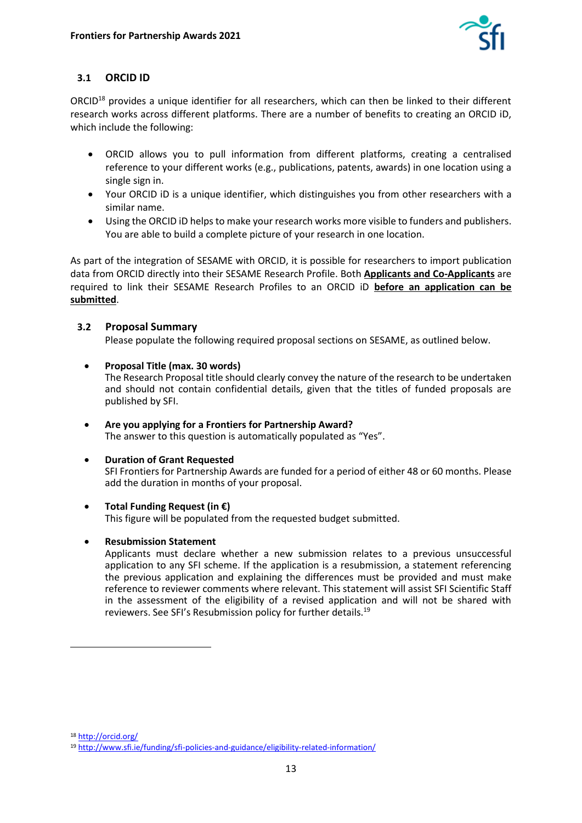

## <span id="page-12-0"></span>**3.1 ORCID ID**

ORCID<sup>18</sup> provides a unique identifier for all researchers, which can then be linked to their different research works across different platforms. There are a number of benefits to creating an ORCID iD, which include the following:

- ORCID allows you to pull information from different platforms, creating a centralised reference to your different works (e.g., publications, patents, awards) in one location using a single sign in.
- Your ORCID iD is a unique identifier, which distinguishes you from other researchers with a similar name.
- Using the ORCID iD helps to make your research works more visible to funders and publishers. You are able to build a complete picture of your research in one location.

As part of the integration of SESAME with ORCID, it is possible for researchers to import publication data from ORCID directly into their SESAME Research Profile. Both **Applicants and Co-Applicants** are required to link their SESAME Research Profiles to an ORCID iD **before an application can be submitted**.

#### <span id="page-12-1"></span>**3.2 Proposal Summary**

Please populate the following required proposal sections on SESAME, as outlined below.

• **Proposal Title (max. 30 words)**

The Research Proposal title should clearly convey the nature of the research to be undertaken and should not contain confidential details, given that the titles of funded proposals are published by SFI.

• **Are you applying for a Frontiers for Partnership Award?**  The answer to this question is automatically populated as "Yes".

#### • **Duration of Grant Requested**

SFI Frontiers for Partnership Awards are funded for a period of either 48 or 60 months. Please add the duration in months of your proposal.

#### • **Total Funding Request (in €)**

This figure will be populated from the requested budget submitted.

#### • **Resubmission Statement**

Applicants must declare whether a new submission relates to a previous unsuccessful application to any SFI scheme. If the application is a resubmission, a statement referencing the previous application and explaining the differences must be provided and must make reference to reviewer comments where relevant. This statement will assist SFI Scientific Staff in the assessment of the eligibility of a revised application and will not be shared with reviewers. See SFI's Resubmission policy for further details.<sup>19</sup>

<sup>18</sup> <http://orcid.org/>

<sup>19</sup> <http://www.sfi.ie/funding/sfi-policies-and-guidance/eligibility-related-information/>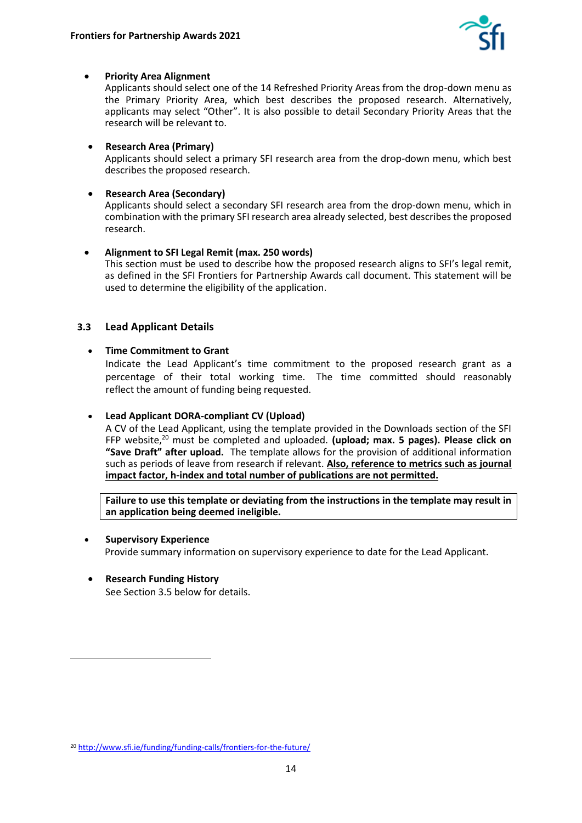

#### • **Priority Area Alignment**

Applicants should select one of the 14 Refreshed Priority Areas from the drop-down menu as the Primary Priority Area, which best describes the proposed research. Alternatively, applicants may select "Other". It is also possible to detail Secondary Priority Areas that the research will be relevant to.

#### • **Research Area (Primary)**

Applicants should select a primary SFI research area from the drop-down menu, which best describes the proposed research.

#### • **Research Area (Secondary)**

Applicants should select a secondary SFI research area from the drop-down menu, which in combination with the primary SFI research area already selected, best describes the proposed research.

## • **Alignment to SFI Legal Remit (max. 250 words)**

This section must be used to describe how the proposed research aligns to SFI's legal remit, as defined in the SFI Frontiers for Partnership Awards call document. This statement will be used to determine the eligibility of the application.

#### <span id="page-13-0"></span>**3.3 Lead Applicant Details**

#### • **Time Commitment to Grant**

Indicate the Lead Applicant's time commitment to the proposed research grant as a percentage of their total working time. The time committed should reasonably reflect the amount of funding being requested.

#### • **Lead Applicant DORA-compliant CV (Upload)**

A CV of the Lead Applicant, using the template provided in the Downloads section of the SFI FFP website,<sup>20</sup> must be completed and uploaded. **(upload; max. 5 pages). Please click on "Save Draft" after upload.** The template allows for the provision of additional information such as periods of leave from research if relevant. **Also, reference to metrics such as journal impact factor, h-index and total number of publications are not permitted.** 

**Failure to use this template or deviating from the instructions in the template may result in an application being deemed ineligible.** 

#### • **Supervisory Experience**

Provide summary information on supervisory experience to date for the Lead Applicant.

• **Research Funding History** See Section 3.5 below for details.

<sup>20</sup> <http://www.sfi.ie/funding/funding-calls/frontiers-for-the-future/>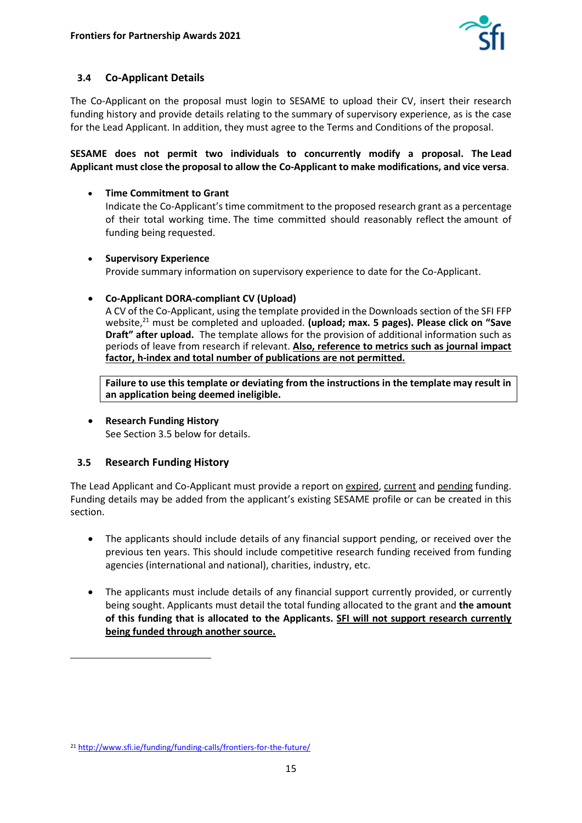

## <span id="page-14-0"></span>**3.4 Co-Applicant Details**

The Co-Applicant on the proposal must login to SESAME to upload their CV, insert their research funding history and provide details relating to the summary of supervisory experience, as is the case for the Lead Applicant. In addition, they must agree to the Terms and Conditions of the proposal.

**SESAME does not permit two individuals to concurrently modify a proposal. The Lead Applicant must close the proposal to allow the Co-Applicant to make modifications, and vice versa**.

• **Time Commitment to Grant**

Indicate the Co-Applicant's time commitment to the proposed research grant as a percentage of their total working time. The time committed should reasonably reflect the amount of funding being requested.

• **Supervisory Experience**

Provide summary information on supervisory experience to date for the Co-Applicant.

#### • **Co-Applicant DORA-compliant CV (Upload)**

A CV of the Co-Applicant, using the template provided in the Downloads section of the SFI FFP website,<sup>21</sup> must be completed and uploaded. **(upload; max. 5 pages). Please click on "Save Draft" after upload.** The template allows for the provision of additional information such as periods of leave from research if relevant. **Also, reference to metrics such as journal impact factor, h-index and total number of publications are not permitted.**

**Failure to use this template or deviating from the instructions in the template may result in an application being deemed ineligible.** 

• **Research Funding History** See Section 3.5 below for details.

#### <span id="page-14-1"></span>**3.5 Research Funding History**

The Lead Applicant and Co-Applicant must provide a report on expired, current and pending funding. Funding details may be added from the applicant's existing SESAME profile or can be created in this section.

- The applicants should include details of any financial support pending, or received over the previous ten years. This should include competitive research funding received from funding agencies (international and national), charities, industry, etc.
- The applicants must include details of any financial support currently provided, or currently being sought. Applicants must detail the total funding allocated to the grant and **the amount of this funding that is allocated to the Applicants. SFI will not support research currently being funded through another source.**

<sup>21</sup> <http://www.sfi.ie/funding/funding-calls/frontiers-for-the-future/>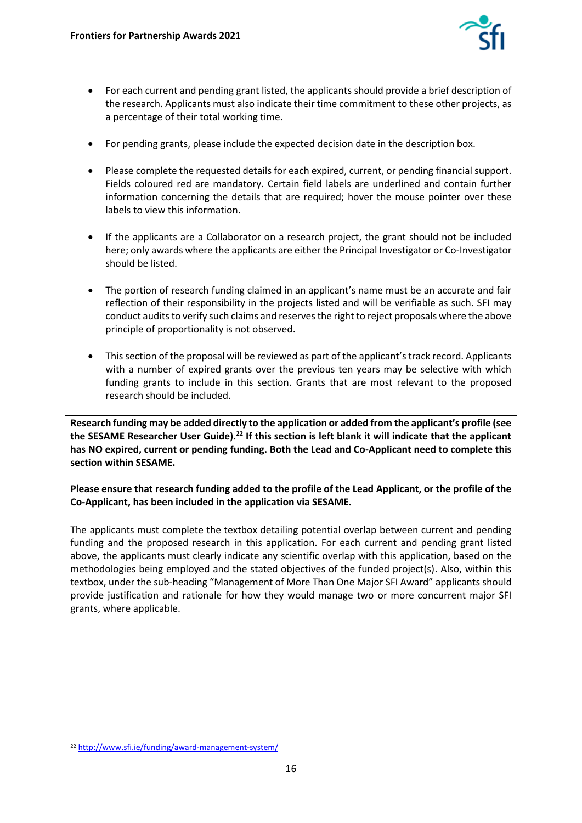

- For each current and pending grant listed, the applicants should provide a brief description of the research. Applicants must also indicate their time commitment to these other projects, as a percentage of their total working time.
- For pending grants, please include the expected decision date in the description box.
- Please complete the requested details for each expired, current, or pending financial support. Fields coloured red are mandatory. Certain field labels are underlined and contain further information concerning the details that are required; hover the mouse pointer over these labels to view this information.
- If the applicants are a Collaborator on a research project, the grant should not be included here; only awards where the applicants are either the Principal Investigator or Co-Investigator should be listed.
- The portion of research funding claimed in an applicant's name must be an accurate and fair reflection of their responsibility in the projects listed and will be verifiable as such. SFI may conduct audits to verify such claims and reserves the right to reject proposals where the above principle of proportionality is not observed.
- This section of the proposal will be reviewed as part of the applicant's track record. Applicants with a number of expired grants over the previous ten years may be selective with which funding grants to include in this section. Grants that are most relevant to the proposed research should be included.

**Research funding may be added directly to the application or added from the applicant's profile (see the SESAME Researcher User Guide).<sup>22</sup> If this section is left blank it will indicate that the applicant has NO expired, current or pending funding. Both the Lead and Co-Applicant need to complete this section within SESAME.**

**Please ensure that research funding added to the profile of the Lead Applicant, or the profile of the Co-Applicant, has been included in the application via SESAME.**

The applicants must complete the textbox detailing potential overlap between current and pending funding and the proposed research in this application. For each current and pending grant listed above, the applicants must clearly indicate any scientific overlap with this application, based on the methodologies being employed and the stated objectives of the funded project(s). Also, within this textbox, under the sub-heading "Management of More Than One Major SFI Award" applicants should provide justification and rationale for how they would manage two or more concurrent major SFI grants, where applicable.

<sup>22</sup> <http://www.sfi.ie/funding/award-management-system/>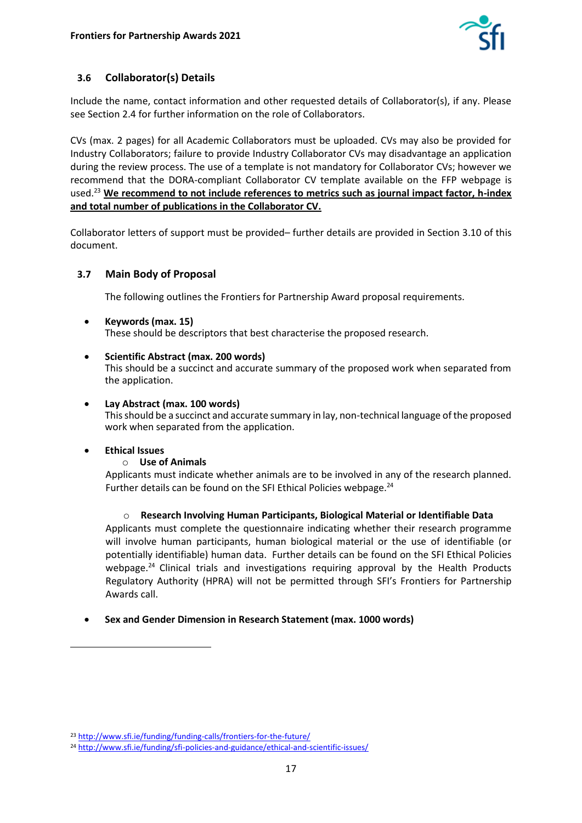

## <span id="page-16-0"></span>**3.6 Collaborator(s) Details**

Include the name, contact information and other requested details of Collaborator(s), if any. Please see Section 2.4 for further information on the role of Collaborators.

CVs (max. 2 pages) for all Academic Collaborators must be uploaded. CVs may also be provided for Industry Collaborators; failure to provide Industry Collaborator CVs may disadvantage an application during the review process. The use of a template is not mandatory for Collaborator CVs; however we recommend that the DORA-compliant Collaborator CV template available on the FFP webpage is used. <sup>23</sup> **We recommend to not include references to metrics such as journal impact factor, h-index and total number of publications in the Collaborator CV.**

Collaborator letters of support must be provided– further details are provided in Section 3.10 of this document.

#### <span id="page-16-1"></span>**3.7 Main Body of Proposal**

The following outlines the Frontiers for Partnership Award proposal requirements.

- **Keywords (max. 15)** These should be descriptors that best characterise the proposed research.
- **Scientific Abstract (max. 200 words)**

This should be a succinct and accurate summary of the proposed work when separated from the application.

• **Lay Abstract (max. 100 words)**

This should be a succinct and accurate summary in lay, non-technical language of the proposed work when separated from the application.

#### • **Ethical Issues**

#### o **Use of Animals**

Applicants must indicate whether animals are to be involved in any of the research planned. Further details can be found on the SFI Ethical Policies webpage.<sup>24</sup>

o **Research Involving Human Participants, Biological Material or Identifiable Data**  Applicants must complete the questionnaire indicating whether their research programme

will involve human participants, human biological material or the use of identifiable (or potentially identifiable) human data. Further details can be found on the SFI Ethical Policies webpage.<sup>24</sup> Clinical trials and investigations requiring approval by the Health Products Regulatory Authority (HPRA) will not be permitted through SFI's Frontiers for Partnership Awards call.

#### • **Sex and Gender Dimension in Research Statement (max. 1000 words)**

<sup>23</sup> <http://www.sfi.ie/funding/funding-calls/frontiers-for-the-future/>

<sup>&</sup>lt;sup>24</sup> <http://www.sfi.ie/funding/sfi-policies-and-guidance/ethical-and-scientific-issues/>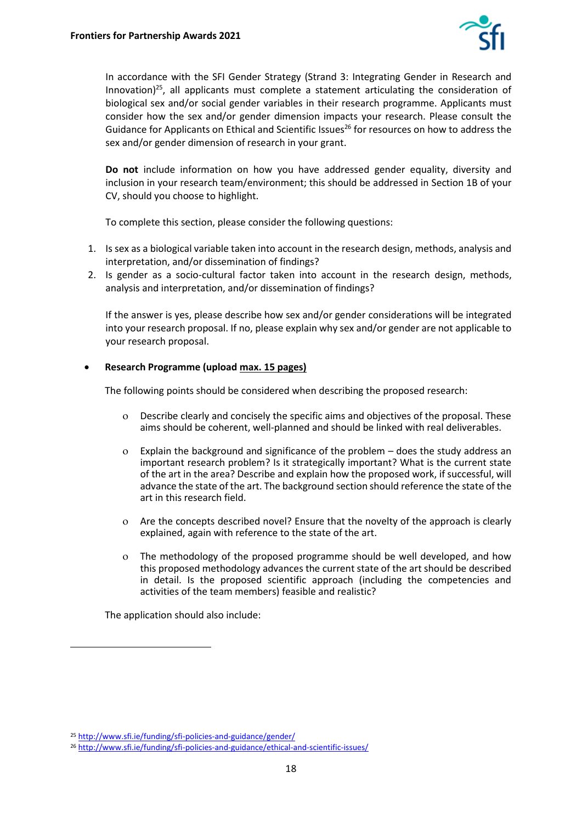

In accordance with the SFI Gender Strategy (Strand 3: Integrating Gender in Research and Innovation) $^{25}$ , all applicants must complete a statement articulating the consideration of biological sex and/or social gender variables in their research programme. Applicants must consider how the sex and/or gender dimension impacts your research. Please consult the Guidance for Applicants on Ethical and Scientific Issues<sup>26</sup> for resources on how to address the sex and/or gender dimension of research in your grant.

**Do not** include information on how you have addressed gender equality, diversity and inclusion in your research team/environment; this should be addressed in Section 1B of your CV, should you choose to highlight.

To complete this section, please consider the following questions:

- 1. Is sex as a biological variable taken into account in the research design, methods, analysis and interpretation, and/or dissemination of findings?
- 2. Is gender as a socio-cultural factor taken into account in the research design, methods, analysis and interpretation, and/or dissemination of findings?

If the answer is yes, please describe how sex and/or gender considerations will be integrated into your research proposal. If no, please explain why sex and/or gender are not applicable to your research proposal.

#### • **Research Programme (upload max. 15 pages)**

The following points should be considered when describing the proposed research:

- Describe clearly and concisely the specific aims and objectives of the proposal. These aims should be coherent, well-planned and should be linked with real deliverables.
- Explain the background and significance of the problem does the study address an important research problem? Is it strategically important? What is the current state of the art in the area? Describe and explain how the proposed work, if successful, will advance the state of the art. The background section should reference the state of the art in this research field.
- Are the concepts described novel? Ensure that the novelty of the approach is clearly explained, again with reference to the state of the art.
- The methodology of the proposed programme should be well developed, and how this proposed methodology advances the current state of the art should be described in detail. Is the proposed scientific approach (including the competencies and activities of the team members) feasible and realistic?

The application should also include:

<sup>25</sup> <http://www.sfi.ie/funding/sfi-policies-and-guidance/gender/>

<sup>26</sup> <http://www.sfi.ie/funding/sfi-policies-and-guidance/ethical-and-scientific-issues/>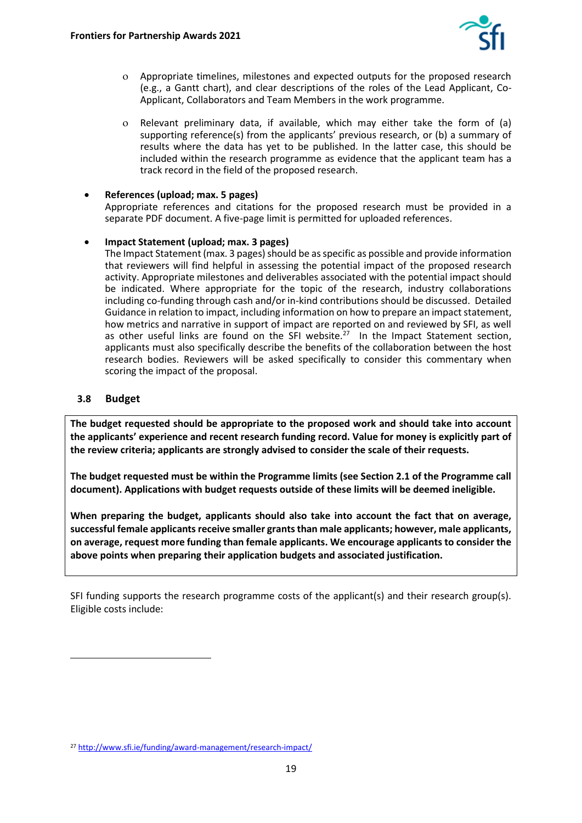

- Appropriate timelines, milestones and expected outputs for the proposed research (e.g., a Gantt chart), and clear descriptions of the roles of the Lead Applicant, Co-Applicant, Collaborators and Team Members in the work programme.
- Relevant preliminary data, if available, which may either take the form of (a) supporting reference(s) from the applicants' previous research, or (b) a summary of results where the data has yet to be published. In the latter case, this should be included within the research programme as evidence that the applicant team has a track record in the field of the proposed research.
- **References (upload; max. 5 pages)**

Appropriate references and citations for the proposed research must be provided in a separate PDF document. A five-page limit is permitted for uploaded references.

• **Impact Statement (upload; max. 3 pages)**

The Impact Statement (max. 3 pages) should be as specific as possible and provide information that reviewers will find helpful in assessing the potential impact of the proposed research activity. Appropriate milestones and deliverables associated with the potential impact should be indicated. Where appropriate for the topic of the research, industry collaborations including co-funding through cash and/or in-kind contributions should be discussed. Detailed Guidance in relation to impact, including information on how to prepare an impact statement, how metrics and narrative in support of impact are reported on and reviewed by SFI, as well as other useful links are found on the SFI website. $27$  In the Impact Statement section, applicants must also specifically describe the benefits of the collaboration between the host research bodies. Reviewers will be asked specifically to consider this commentary when scoring the impact of the proposal.

#### <span id="page-18-0"></span>**3.8 Budget**

**The budget requested should be appropriate to the proposed work and should take into account the applicants' experience and recent research funding record. Value for money is explicitly part of the review criteria; applicants are strongly advised to consider the scale of their requests.**

**The budget requested must be within the Programme limits (see Section 2.1 of the Programme call document). Applications with budget requests outside of these limits will be deemed ineligible.** 

**When preparing the budget, applicants should also take into account the fact that on average, successful female applicants receive smaller grants than male applicants; however, male applicants, on average, request more funding than female applicants. We encourage applicants to consider the above points when preparing their application budgets and associated justification.**

SFI funding supports the research programme costs of the applicant(s) and their research group(s). Eligible costs include:

<sup>27</sup> <http://www.sfi.ie/funding/award-management/research-impact/>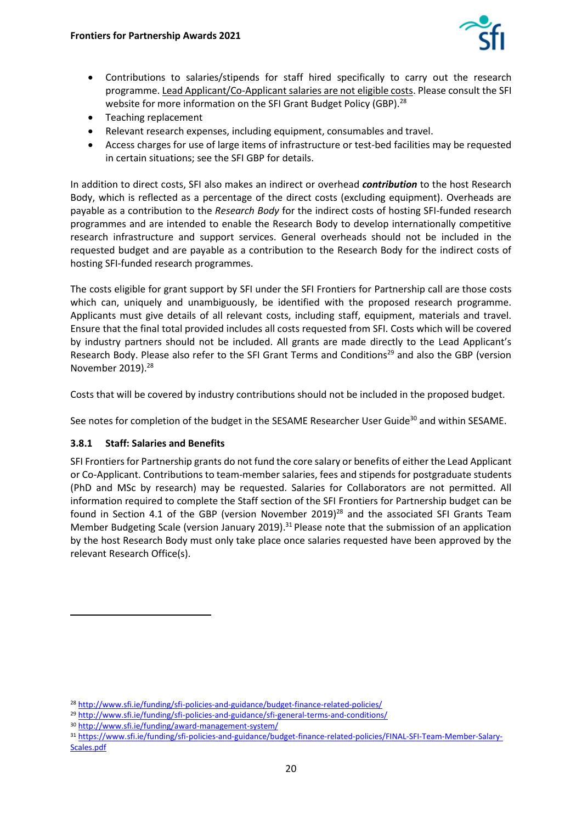

- Contributions to salaries/stipends for staff hired specifically to carry out the research programme. Lead Applicant/Co-Applicant salaries are not eligible costs. Please consult the SFI website for more information on the SFI Grant Budget Policy (GBP).<sup>28</sup>
- Teaching replacement
- Relevant research expenses, including equipment, consumables and travel.
- Access charges for use of large items of infrastructure or test-bed facilities may be requested in certain situations; see the SFI GBP for details.

In addition to direct costs, SFI also makes an indirect or overhead *contribution* to the host Research Body, which is reflected as a percentage of the direct costs (excluding equipment). Overheads are payable as a contribution to the *Research Body* for the indirect costs of hosting SFI-funded research programmes and are intended to enable the Research Body to develop internationally competitive research infrastructure and support services. General overheads should not be included in the requested budget and are payable as a contribution to the Research Body for the indirect costs of hosting SFI-funded research programmes.

The costs eligible for grant support by SFI under the SFI Frontiers for Partnership call are those costs which can, uniquely and unambiguously, be identified with the proposed research programme. Applicants must give details of all relevant costs, including staff, equipment, materials and travel. Ensure that the final total provided includes all costs requested from SFI. Costs which will be covered by industry partners should not be included. All grants are made directly to the Lead Applicant's Research Body. Please also refer to the SFI Grant Terms and Conditions<sup>29</sup> and also the GBP (version November 2019).<sup>28</sup>

Costs that will be covered by industry contributions should not be included in the proposed budget.

See notes for completion of the budget in the SESAME Researcher User Guide<sup>30</sup> and within SESAME.

#### **3.8.1 Staff: Salaries and Benefits**

SFI Frontiers for Partnership grants do not fund the core salary or benefits of either the Lead Applicant or Co-Applicant. Contributions to team-member salaries, fees and stipends for postgraduate students (PhD and MSc by research) may be requested. Salaries for Collaborators are not permitted. All information required to complete the Staff section of the SFI Frontiers for Partnership budget can be found in Section 4.1 of the GBP (version November 2019)<sup>28</sup> and the associated SFI Grants Team Member Budgeting Scale (version January 2019).<sup>31</sup> Please note that the submission of an application by the host Research Body must only take place once salaries requested have been approved by the relevant Research Office(s).

<sup>28</sup> <http://www.sfi.ie/funding/sfi-policies-and-guidance/budget-finance-related-policies/>

<sup>&</sup>lt;sup>29</sup> <http://www.sfi.ie/funding/sfi-policies-and-guidance/sfi-general-terms-and-conditions/>

<sup>30</sup> <http://www.sfi.ie/funding/award-management-system/>

<sup>31</sup> [https://www.sfi.ie/funding/sfi-policies-and-guidance/budget-finance-related-policies/FINAL-SFI-Team-Member-Salary-](https://www.sfi.ie/funding/sfi-policies-and-guidance/budget-finance-related-policies/FINAL-SFI-Team-Member-Salary-Scales.pdf)[Scales.pdf](https://www.sfi.ie/funding/sfi-policies-and-guidance/budget-finance-related-policies/FINAL-SFI-Team-Member-Salary-Scales.pdf)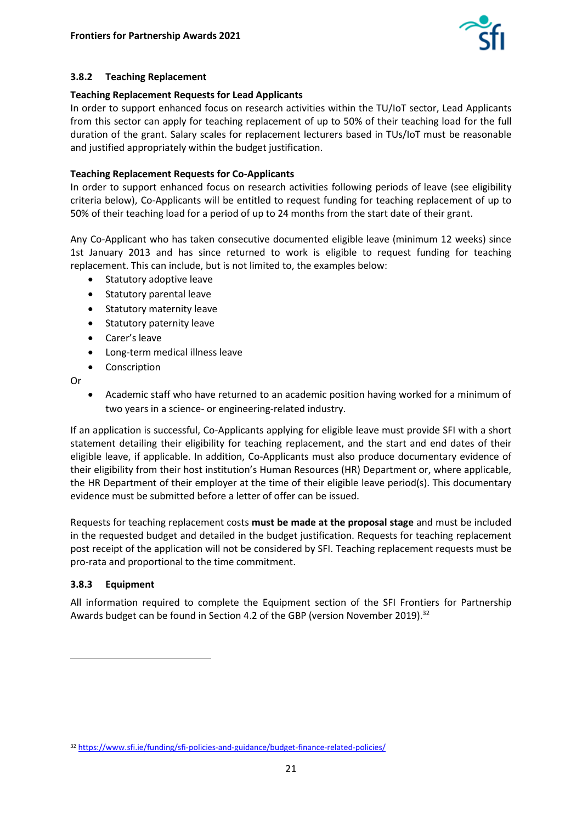

#### **3.8.2 Teaching Replacement**

#### **Teaching Replacement Requests for Lead Applicants**

In order to support enhanced focus on research activities within the TU/IoT sector, Lead Applicants from this sector can apply for teaching replacement of up to 50% of their teaching load for the full duration of the grant. Salary scales for replacement lecturers based in TUs/IoT must be reasonable and justified appropriately within the budget justification.

#### **Teaching Replacement Requests for Co-Applicants**

In order to support enhanced focus on research activities following periods of leave (see eligibility criteria below), Co-Applicants will be entitled to request funding for teaching replacement of up to 50% of their teaching load for a period of up to 24 months from the start date of their grant.

Any Co-Applicant who has taken consecutive documented eligible leave (minimum 12 weeks) since 1st January 2013 and has since returned to work is eligible to request funding for teaching replacement. This can include, but is not limited to, the examples below:

- Statutory adoptive leave
- Statutory parental leave
- Statutory maternity leave
- Statutory paternity leave
- Carer's leave
- Long-term medical illness leave
- **Conscription**

Or

• Academic staff who have returned to an academic position having worked for a minimum of two years in a science- or engineering-related industry.

If an application is successful, Co-Applicants applying for eligible leave must provide SFI with a short statement detailing their eligibility for teaching replacement, and the start and end dates of their eligible leave, if applicable. In addition, Co-Applicants must also produce documentary evidence of their eligibility from their host institution's Human Resources (HR) Department or, where applicable, the HR Department of their employer at the time of their eligible leave period(s). This documentary evidence must be submitted before a letter of offer can be issued.

Requests for teaching replacement costs **must be made at the proposal stage** and must be included in the requested budget and detailed in the budget justification. Requests for teaching replacement post receipt of the application will not be considered by SFI. Teaching replacement requests must be pro-rata and proportional to the time commitment.

#### **3.8.3 Equipment**

All information required to complete the Equipment section of the SFI Frontiers for Partnership Awards budget can be found in Section 4.2 of the GBP (version November 2019).<sup>32</sup>

<sup>32</sup> <https://www.sfi.ie/funding/sfi-policies-and-guidance/budget-finance-related-policies/>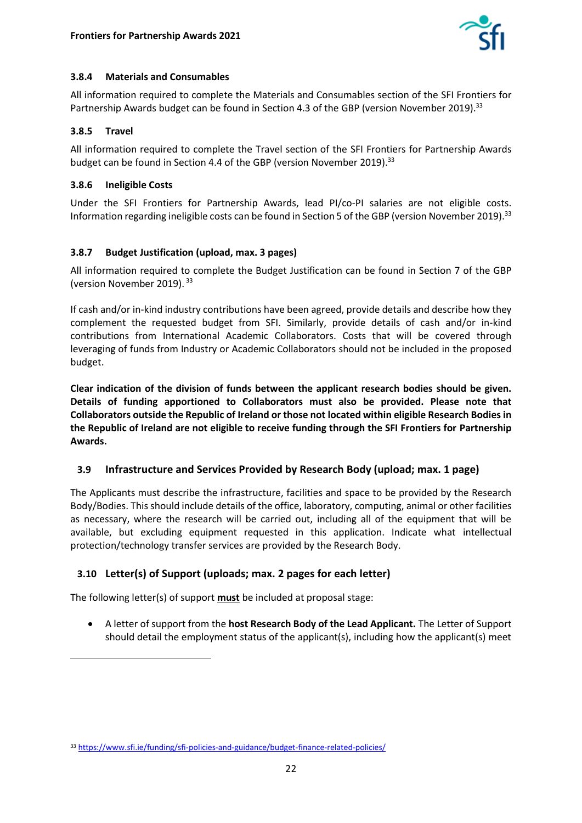

#### **3.8.4 Materials and Consumables**

All information required to complete the Materials and Consumables section of the SFI Frontiers for Partnership Awards budget can be found in Section 4.3 of the GBP (version November 2019).<sup>33</sup>

#### **3.8.5 Travel**

All information required to complete the Travel section of the SFI Frontiers for Partnership Awards budget can be found in Section 4.4 of the GBP (version November 2019).<sup>33</sup>

#### **3.8.6 Ineligible Costs**

Under the SFI Frontiers for Partnership Awards, lead PI/co-PI salaries are not eligible costs. Information regarding ineligible costs can be found in Section 5 of the GBP (version November 2019).<sup>33</sup>

#### **3.8.7 Budget Justification (upload, max. 3 pages)**

All information required to complete the Budget Justification can be found in Section 7 of the GBP (version November 2019). 33

If cash and/or in-kind industry contributions have been agreed, provide details and describe how they complement the requested budget from SFI. Similarly, provide details of cash and/or in-kind contributions from International Academic Collaborators. Costs that will be covered through leveraging of funds from Industry or Academic Collaborators should not be included in the proposed budget.

**Clear indication of the division of funds between the applicant research bodies should be given. Details of funding apportioned to Collaborators must also be provided. Please note that Collaborators outside the Republic of Ireland or those not located within eligible Research Bodies in the Republic of Ireland are not eligible to receive funding through the SFI Frontiers for Partnership Awards.** 

#### <span id="page-21-0"></span>**3.9 Infrastructure and Services Provided by Research Body (upload; max. 1 page)**

The Applicants must describe the infrastructure, facilities and space to be provided by the Research Body/Bodies. This should include details of the office, laboratory, computing, animal or other facilities as necessary, where the research will be carried out, including all of the equipment that will be available, but excluding equipment requested in this application. Indicate what intellectual protection/technology transfer services are provided by the Research Body.

## <span id="page-21-1"></span>**3.10 Letter(s) of Support (uploads; max. 2 pages for each letter)**

The following letter(s) of support **must** be included at proposal stage:

• A letter of support from the **host Research Body of the Lead Applicant.** The Letter of Support should detail the employment status of the applicant(s), including how the applicant(s) meet

<sup>33</sup> <https://www.sfi.ie/funding/sfi-policies-and-guidance/budget-finance-related-policies/>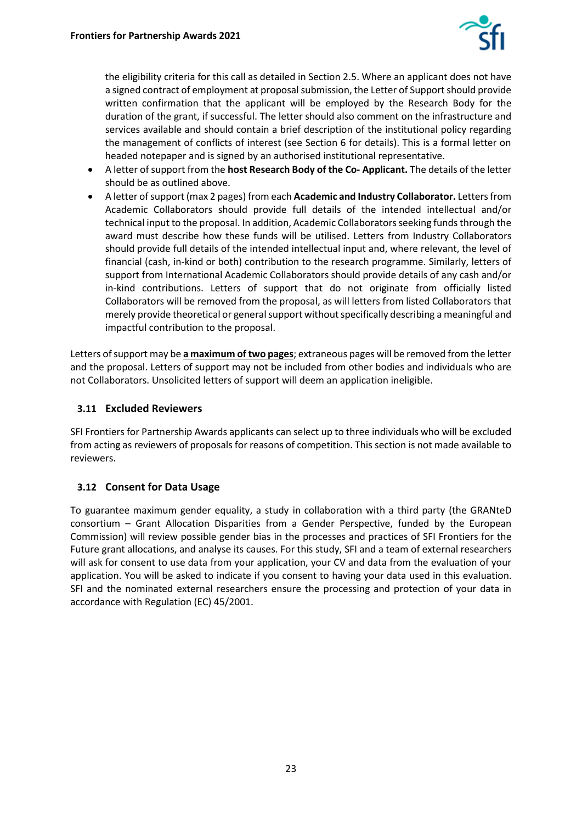

the eligibility criteria for this call as detailed in Section 2.5. Where an applicant does not have a signed contract of employment at proposal submission, the Letter of Support should provide written confirmation that the applicant will be employed by the Research Body for the duration of the grant, if successful. The letter should also comment on the infrastructure and services available and should contain a brief description of the institutional policy regarding the management of conflicts of interest (see Section 6 for details). This is a formal letter on headed notepaper and is signed by an authorised institutional representative.

- A letter of support from the **host Research Body of the Co- Applicant.** The details of the letter should be as outlined above.
- A letter of support (max 2 pages) from each **Academic and Industry Collaborator.** Letters from Academic Collaborators should provide full details of the intended intellectual and/or technical input to the proposal. In addition, Academic Collaborators seeking funds through the award must describe how these funds will be utilised. Letters from Industry Collaborators should provide full details of the intended intellectual input and, where relevant, the level of financial (cash, in-kind or both) contribution to the research programme. Similarly, letters of support from International Academic Collaborators should provide details of any cash and/or in-kind contributions. Letters of support that do not originate from officially listed Collaborators will be removed from the proposal, as will letters from listed Collaborators that merely provide theoretical or general support without specifically describing a meaningful and impactful contribution to the proposal.

Letters of support may be **a maximum of two pages**; extraneous pages will be removed from the letter and the proposal. Letters of support may not be included from other bodies and individuals who are not Collaborators. Unsolicited letters of support will deem an application ineligible.

### <span id="page-22-0"></span>**3.11 Excluded Reviewers**

SFI Frontiers for Partnership Awards applicants can select up to three individuals who will be excluded from acting as reviewers of proposals for reasons of competition. This section is not made available to reviewers.

## <span id="page-22-1"></span>**3.12 Consent for Data Usage**

To guarantee maximum gender equality, a study in collaboration with a third party (the GRANteD consortium – Grant Allocation Disparities from a Gender Perspective, funded by the European Commission) will review possible gender bias in the processes and practices of SFI Frontiers for the Future grant allocations, and analyse its causes. For this study, SFI and a team of external researchers will ask for consent to use data from your application, your CV and data from the evaluation of your application. You will be asked to indicate if you consent to having your data used in this evaluation. SFI and the nominated external researchers ensure the processing and protection of your data in accordance with Regulation (EC) 45/2001.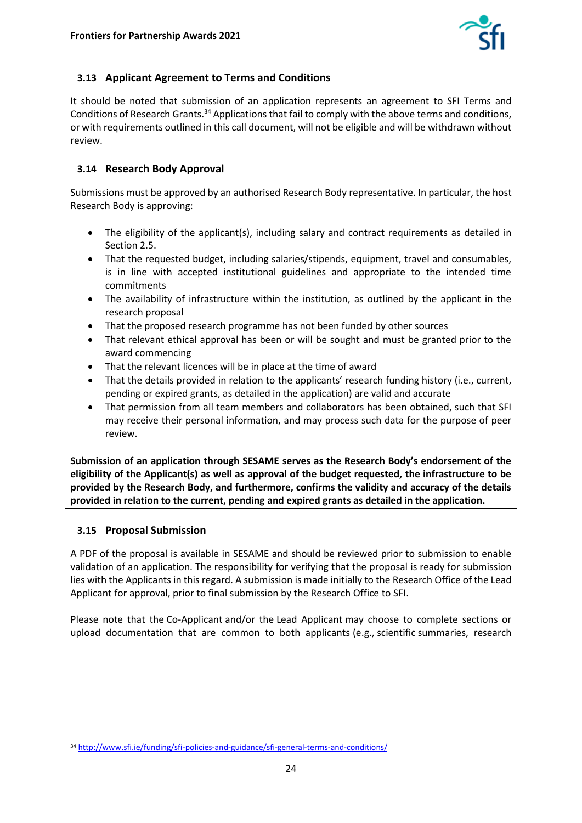

## <span id="page-23-0"></span>**3.13 Applicant Agreement to Terms and Conditions**

It should be noted that submission of an application represents an agreement to SFI Terms and Conditions of Research Grants.<sup>34</sup> Applications that fail to comply with the above terms and conditions, or with requirements outlined in this call document, will not be eligible and will be withdrawn without review.

## <span id="page-23-1"></span>**3.14 Research Body Approval**

Submissions must be approved by an authorised Research Body representative. In particular, the host Research Body is approving:

- The eligibility of the applicant(s), including salary and contract requirements as detailed in Section 2.5.
- That the requested budget, including salaries/stipends, equipment, travel and consumables, is in line with accepted institutional guidelines and appropriate to the intended time commitments
- The availability of infrastructure within the institution, as outlined by the applicant in the research proposal
- That the proposed research programme has not been funded by other sources
- That relevant ethical approval has been or will be sought and must be granted prior to the award commencing
- That the relevant licences will be in place at the time of award
- That the details provided in relation to the applicants' research funding history (i.e., current, pending or expired grants, as detailed in the application) are valid and accurate
- That permission from all team members and collaborators has been obtained, such that SFI may receive their personal information, and may process such data for the purpose of peer review.

**Submission of an application through SESAME serves as the Research Body's endorsement of the eligibility of the Applicant(s) as well as approval of the budget requested, the infrastructure to be provided by the Research Body, and furthermore, confirms the validity and accuracy of the details provided in relation to the current, pending and expired grants as detailed in the application.** 

#### <span id="page-23-2"></span>**3.15 Proposal Submission**

A PDF of the proposal is available in SESAME and should be reviewed prior to submission to enable validation of an application. The responsibility for verifying that the proposal is ready for submission lies with the Applicants in this regard. A submission is made initially to the Research Office of the Lead Applicant for approval, prior to final submission by the Research Office to SFI.

Please note that the Co-Applicant and/or the Lead Applicant may choose to complete sections or upload documentation that are common to both applicants (e.g., scientific summaries, research

<sup>34</sup> <http://www.sfi.ie/funding/sfi-policies-and-guidance/sfi-general-terms-and-conditions/>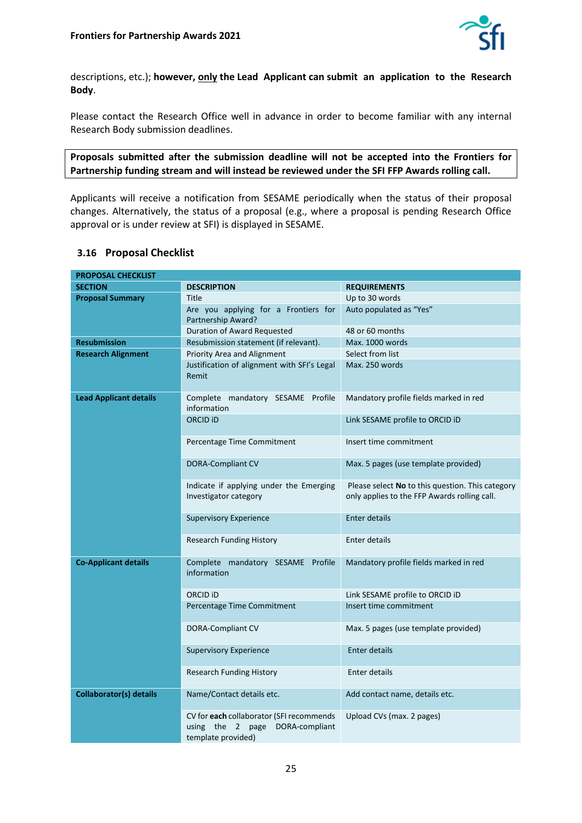

descriptions, etc.); **however, only the Lead Applicant can submit an application to the Research Body**.

Please contact the Research Office well in advance in order to become familiar with any internal Research Body submission deadlines.

**Proposals submitted after the submission deadline will not be accepted into the Frontiers for Partnership funding stream and will instead be reviewed under the SFI FFP Awards rolling call.** 

Applicants will receive a notification from SESAME periodically when the status of their proposal changes. Alternatively, the status of a proposal (e.g., where a proposal is pending Research Office approval or is under review at SFI) is displayed in SESAME.

#### <span id="page-24-0"></span>**3.16 Proposal Checklist**

| <b>PROPOSAL CHECKLIST</b>      |                                                                                                      |                                                                                                  |  |
|--------------------------------|------------------------------------------------------------------------------------------------------|--------------------------------------------------------------------------------------------------|--|
| <b>SECTION</b>                 | <b>DESCRIPTION</b>                                                                                   | <b>REQUIREMENTS</b>                                                                              |  |
| <b>Proposal Summary</b>        | Title                                                                                                | Up to 30 words                                                                                   |  |
|                                | Are you applying for a Frontiers for<br>Partnership Award?                                           | Auto populated as "Yes"                                                                          |  |
|                                | Duration of Award Requested                                                                          | 48 or 60 months                                                                                  |  |
| <b>Resubmission</b>            | Resubmission statement (if relevant).                                                                | Max. 1000 words                                                                                  |  |
| <b>Research Alignment</b>      | Priority Area and Alignment                                                                          | Select from list                                                                                 |  |
|                                | Justification of alignment with SFI's Legal<br>Remit                                                 | Max. 250 words                                                                                   |  |
| <b>Lead Applicant details</b>  | Complete mandatory SESAME Profile<br>information                                                     | Mandatory profile fields marked in red                                                           |  |
|                                | ORCID <sub>iD</sub>                                                                                  | Link SESAME profile to ORCID ID                                                                  |  |
|                                | Percentage Time Commitment                                                                           | Insert time commitment                                                                           |  |
|                                | <b>DORA-Compliant CV</b>                                                                             | Max. 5 pages (use template provided)                                                             |  |
|                                | Indicate if applying under the Emerging<br>Investigator category                                     | Please select No to this question. This category<br>only applies to the FFP Awards rolling call. |  |
|                                | <b>Supervisory Experience</b>                                                                        | <b>Enter details</b>                                                                             |  |
|                                | <b>Research Funding History</b>                                                                      | <b>Enter details</b>                                                                             |  |
| <b>Co-Applicant details</b>    | Complete mandatory SESAME Profile<br>information                                                     | Mandatory profile fields marked in red                                                           |  |
|                                | ORCID <sub>i</sub> D                                                                                 | Link SESAME profile to ORCID iD                                                                  |  |
|                                | Percentage Time Commitment                                                                           | Insert time commitment                                                                           |  |
|                                | DORA-Compliant CV                                                                                    | Max. 5 pages (use template provided)                                                             |  |
|                                | <b>Supervisory Experience</b>                                                                        | Enter details                                                                                    |  |
|                                | <b>Research Funding History</b>                                                                      | Enter details                                                                                    |  |
| <b>Collaborator(s) details</b> | Name/Contact details etc.                                                                            | Add contact name, details etc.                                                                   |  |
|                                | CV for each collaborator (SFI recommends<br>using the 2 page<br>DORA-compliant<br>template provided) | Upload CVs (max. 2 pages)                                                                        |  |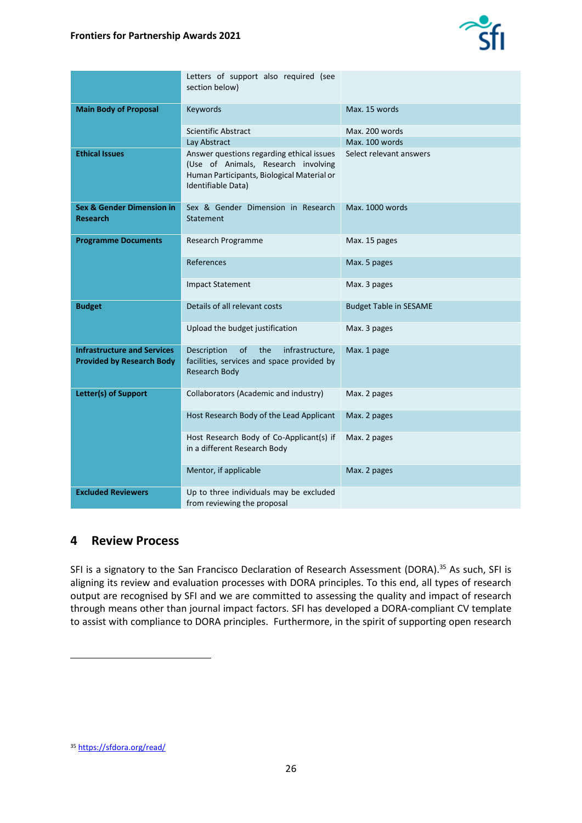

|                                                                        | Letters of support also required (see<br>section below)                                                                                              |                               |
|------------------------------------------------------------------------|------------------------------------------------------------------------------------------------------------------------------------------------------|-------------------------------|
| <b>Main Body of Proposal</b>                                           | Keywords                                                                                                                                             | Max. 15 words                 |
|                                                                        | <b>Scientific Abstract</b>                                                                                                                           | Max. 200 words                |
|                                                                        | Lay Abstract                                                                                                                                         | Max. 100 words                |
| <b>Ethical Issues</b>                                                  | Answer questions regarding ethical issues<br>(Use of Animals, Research involving<br>Human Participants, Biological Material or<br>Identifiable Data) | Select relevant answers       |
| <b>Sex &amp; Gender Dimension in</b><br>Research                       | Sex & Gender Dimension in Research<br>Statement                                                                                                      | Max. 1000 words               |
| <b>Programme Documents</b>                                             | Research Programme                                                                                                                                   | Max. 15 pages                 |
|                                                                        | References                                                                                                                                           | Max. 5 pages                  |
|                                                                        | <b>Impact Statement</b>                                                                                                                              | Max. 3 pages                  |
| <b>Budget</b>                                                          | Details of all relevant costs                                                                                                                        | <b>Budget Table in SESAME</b> |
|                                                                        | Upload the budget justification                                                                                                                      | Max. 3 pages                  |
| <b>Infrastructure and Services</b><br><b>Provided by Research Body</b> | <sub>of</sub><br>the<br>Description<br>infrastructure,<br>facilities, services and space provided by<br><b>Research Body</b>                         | Max. 1 page                   |
| Letter(s) of Support                                                   | Collaborators (Academic and industry)                                                                                                                | Max. 2 pages                  |
|                                                                        | Host Research Body of the Lead Applicant                                                                                                             | Max. 2 pages                  |
|                                                                        | Host Research Body of Co-Applicant(s) if<br>in a different Research Body                                                                             | Max. 2 pages                  |
|                                                                        | Mentor, if applicable                                                                                                                                | Max. 2 pages                  |
| <b>Excluded Reviewers</b>                                              | Up to three individuals may be excluded<br>from reviewing the proposal                                                                               |                               |

## <span id="page-25-0"></span>**4 Review Process**

SFI is a signatory to the San Francisco Declaration of Research Assessment (DORA).<sup>35</sup> As such, SFI is aligning its review and evaluation processes with DORA principles. To this end, all types of research output are recognised by SFI and we are committed to assessing the quality and impact of research through means other than journal impact factors. SFI has developed a DORA-compliant CV template to assist with compliance to DORA principles. Furthermore, in the spirit of supporting open research

<sup>35</sup> <https://sfdora.org/read/>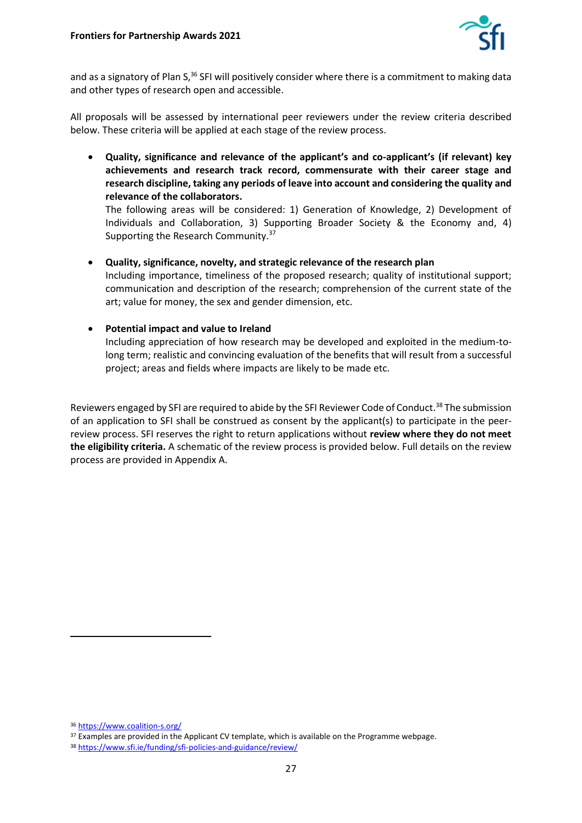

and as a signatory of Plan S,<sup>36</sup> SFI will positively consider where there is a commitment to making data and other types of research open and accessible.

All proposals will be assessed by international peer reviewers under the review criteria described below. These criteria will be applied at each stage of the review process.

• **Quality, significance and relevance of the applicant's and co-applicant's (if relevant) key achievements and research track record, commensurate with their career stage and research discipline, taking any periods of leave into account and considering the quality and relevance of the collaborators.** 

The following areas will be considered: 1) Generation of Knowledge, 2) Development of Individuals and Collaboration, 3) Supporting Broader Society & the Economy and, 4) Supporting the Research Community.<sup>37</sup>

• **Quality, significance, novelty, and strategic relevance of the research plan** Including importance, timeliness of the proposed research; quality of institutional support; communication and description of the research; comprehension of the current state of the art; value for money, the sex and gender dimension, etc.

#### • **Potential impact and value to Ireland**

Including appreciation of how research may be developed and exploited in the medium-tolong term; realistic and convincing evaluation of the benefits that will result from a successful project; areas and fields where impacts are likely to be made etc.

Reviewers engaged by SFI are required to abide by the SFI Reviewer Code of Conduct.<sup>38</sup> The submission of an application to SFI shall be construed as consent by the applicant(s) to participate in the peerreview process. SFI reserves the right to return applications without **review where they do not meet the eligibility criteria.** A schematic of the review process is provided below. Full details on the review process are provided in Appendix A.

<sup>36</sup> <https://www.coalition-s.org/>

<sup>&</sup>lt;sup>37</sup> Examples are provided in the Applicant CV template, which is available on the Programme webpage.

<sup>38</sup> <https://www.sfi.ie/funding/sfi-policies-and-guidance/review/>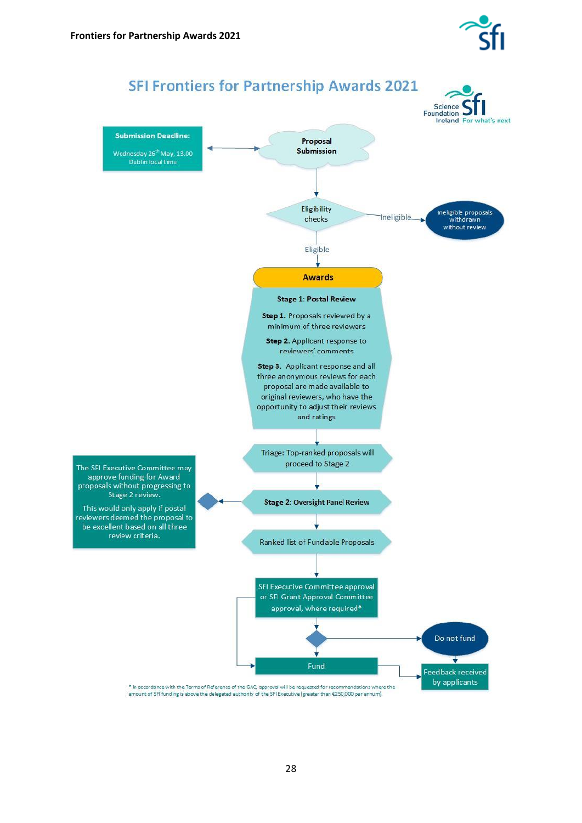

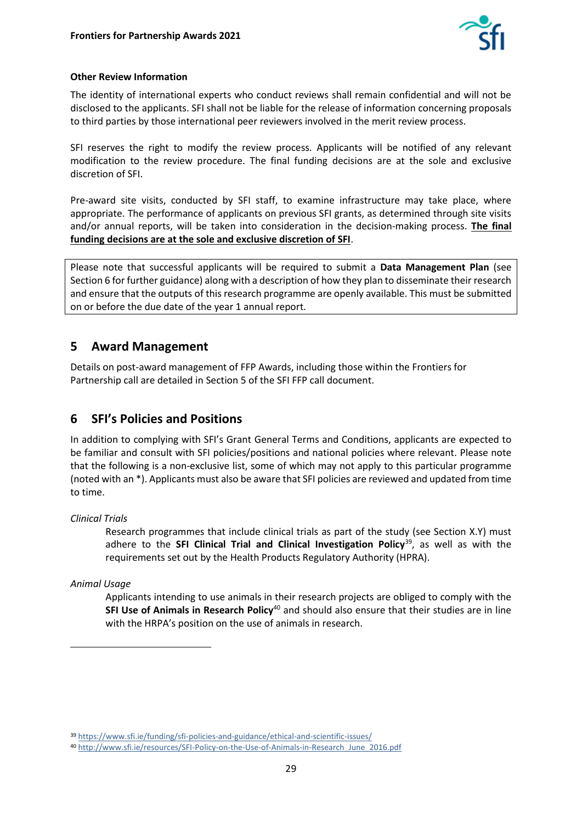

#### **Other Review Information**

The identity of international experts who conduct reviews shall remain confidential and will not be disclosed to the applicants. SFI shall not be liable for the release of information concerning proposals to third parties by those international peer reviewers involved in the merit review process.

SFI reserves the right to modify the review process. Applicants will be notified of any relevant modification to the review procedure. The final funding decisions are at the sole and exclusive discretion of SFI.

Pre-award site visits, conducted by SFI staff, to examine infrastructure may take place, where appropriate. The performance of applicants on previous SFI grants, as determined through site visits and/or annual reports, will be taken into consideration in the decision-making process. **The final funding decisions are at the sole and exclusive discretion of SFI**.

Please note that successful applicants will be required to submit a **Data Management Plan** (see Section 6 for further guidance) along with a description of how they plan to disseminate their research and ensure that the outputs of this research programme are openly available. This must be submitted on or before the due date of the year 1 annual report.

# <span id="page-28-0"></span>**5 Award Management**

Details on post-award management of FFP Awards, including those within the Frontiers for Partnership call are detailed in Section 5 of the SFI FFP call document.

# <span id="page-28-1"></span>**6 SFI's Policies and Positions**

In addition to complying with SFI's Grant General Terms and Conditions, applicants are expected to be familiar and consult with SFI policies/positions and national policies where relevant. Please note that the following is a non-exclusive list, some of which may not apply to this particular programme (noted with an \*). Applicants must also be aware that SFI policies are reviewed and updated from time to time.

*Clinical Trials*

Research programmes that include clinical trials as part of the study (see Section X.Y) must adhere to the **SFI Clinical Trial and Clinical Investigation Policy**<sup>39</sup>, as well as with the requirements set out by the Health Products Regulatory Authority (HPRA).

*Animal Usage*

Applicants intending to use animals in their research projects are obliged to comply with the **SFI Use of Animals in Research Policy**<sup>40</sup> and should also ensure that their studies are in line with the HRPA's position on the use of animals in research.

<sup>39</sup> <https://www.sfi.ie/funding/sfi-policies-and-guidance/ethical-and-scientific-issues/>

<sup>40</sup> [http://www.sfi.ie/resources/SFI-Policy-on-the-Use-of-Animals-in-Research\\_June\\_2016.pdf](http://www.sfi.ie/resources/SFI-Policy-on-the-Use-of-Animals-in-Research_June_2016.pdf)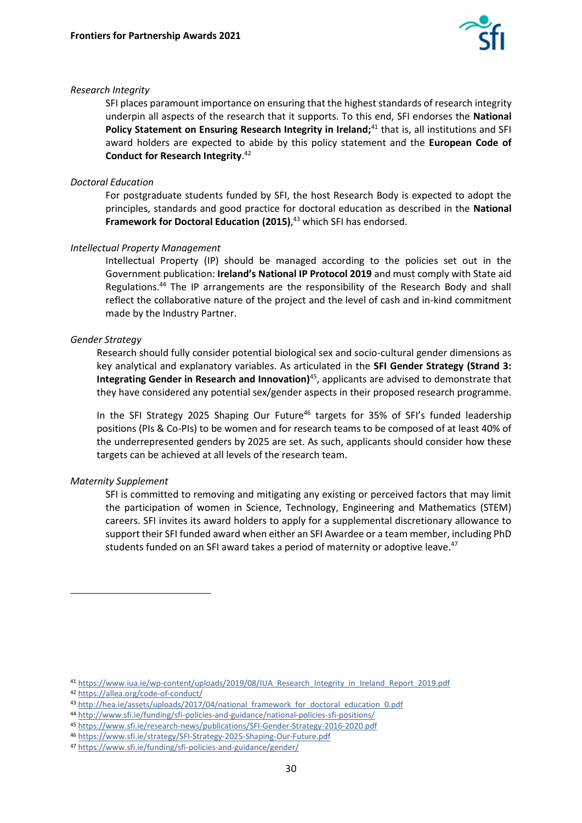

#### *Research Integrity*

SFI places paramount importance on ensuring that the highest standards of research integrity underpin all aspects of the research that it supports. To this end, SFI endorses the **National**  Policy Statement on Ensuring Research Integrity in Ireland;<sup>41</sup> that is, all institutions and SFI award holders are expected to abide by this policy statement and the **European Code of Conduct for Research Integrity**. 42

#### *Doctoral Education*

For postgraduate students funded by SFI, the host Research Body is expected to adopt the principles, standards and good practice for doctoral education as described in the **National Framework for Doctoral Education (2015)**, <sup>43</sup> which SFI has endorsed.

#### *Intellectual Property Management*

Intellectual Property (IP) should be managed according to the policies set out in the Government publication: **Ireland's National IP Protocol 2019** and must comply with State aid Regulations. <sup>44</sup> The IP arrangements are the responsibility of the Research Body and shall reflect the collaborative nature of the project and the level of cash and in-kind commitment made by the Industry Partner.

#### *Gender Strategy*

Research should fully consider potential biological sex and socio-cultural gender dimensions as key analytical and explanatory variables. As articulated in the **SFI Gender Strategy (Strand 3: Integrating Gender in Research and Innovation)**<sup>45</sup>, applicants are advised to demonstrate that they have considered any potential sex/gender aspects in their proposed research programme.

In the SFI Strategy 2025 Shaping Our Future<sup>46</sup> targets for 35% of SFI's funded leadership positions (PIs & Co-PIs) to be women and for research teams to be composed of at least 40% of the underrepresented genders by 2025 are set. As such, applicants should consider how these targets can be achieved at all levels of the research team.

#### *Maternity Supplement*

SFI is committed to removing and mitigating any existing or perceived factors that may limit the participation of women in Science, Technology, Engineering and Mathematics (STEM) careers. SFI invites its award holders to apply for a supplemental discretionary allowance to support their SFI funded award when either an SFI Awardee or a team member, including PhD students funded on an SFI award takes a period of maternity or adoptive leave.<sup>47</sup>

<sup>41</sup> [https://www.iua.ie/wp-content/uploads/2019/08/IUA\\_Research\\_Integrity\\_in\\_Ireland\\_Report\\_2019.pdf](https://www.iua.ie/wp-content/uploads/2019/08/IUA_Research_Integrity_in_Ireland_Report_2019.pdf)

<sup>42</sup> <https://allea.org/code-of-conduct/>

<sup>43</sup> [http://hea.ie/assets/uploads/2017/04/national\\_framework\\_for\\_doctoral\\_education\\_0.pdf](http://hea.ie/assets/uploads/2017/04/national_framework_for_doctoral_education_0.pdf)

<sup>44</sup> <http://www.sfi.ie/funding/sfi-policies-and-guidance/national-policies-sfi-positions/>

<sup>45</sup> <https://www.sfi.ie/research-news/publications/SFI-Gender-Strategy-2016-2020.pdf>

<sup>46</sup> <https://www.sfi.ie/strategy/SFI-Strategy-2025-Shaping-Our-Future.pdf>

<sup>47</sup> <https://www.sfi.ie/funding/sfi-policies-and-guidance/gender/>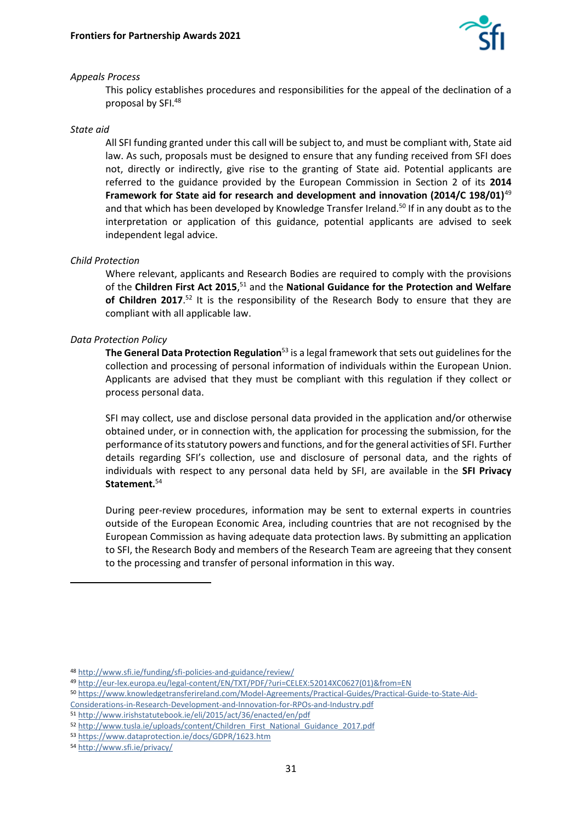

#### *Appeals Process*

This policy establishes procedures and responsibilities for the appeal of the declination of a proposal by SFI.<sup>48</sup>

#### *State aid*

All SFI funding granted under this call will be subject to, and must be compliant with, State aid law. As such, proposals must be designed to ensure that any funding received from SFI does not, directly or indirectly, give rise to the granting of State aid. Potential applicants are referred to the guidance provided by the European Commission in Section 2 of its **2014 Framework for State aid for research and development and innovation (2014/C 198/01)**<sup>49</sup> and that which has been developed by Knowledge Transfer Ireland.<sup>50</sup> If in any doubt as to the interpretation or application of this guidance, potential applicants are advised to seek independent legal advice.

#### *Child Protection*

Where relevant, applicants and Research Bodies are required to comply with the provisions of the **Children First Act 2015**, <sup>51</sup> and the **National Guidance for the Protection and Welfare**  of Children 2017.<sup>52</sup> It is the responsibility of the Research Body to ensure that they are compliant with all applicable law.

#### *Data Protection Policy*

**The General Data Protection Regulation**<sup>53</sup> is a legal framework that sets out guidelines for the collection and processing of personal information of individuals within the European Union. Applicants are advised that they must be compliant with this regulation if they collect or process personal data.

SFI may collect, use and disclose personal data provided in the application and/or otherwise obtained under, or in connection with, the application for processing the submission, for the performance of its statutory powers and functions, and for the general activities of SFI. Further details regarding SFI's collection, use and disclosure of personal data, and the rights of individuals with respect to any personal data held by SFI, are available in the **SFI Privacy Statement.**<sup>54</sup>

During peer-review procedures, information may be sent to external experts in countries outside of the European Economic Area, including countries that are not recognised by the European Commission as having adequate data protection laws. By submitting an application to SFI, the Research Body and members of the Research Team are agreeing that they consent to the processing and transfer of personal information in this way.

[Considerations-in-Research-Development-and-Innovation-for-RPOs-and-Industry.pdf](https://www.knowledgetransferireland.com/Model-Agreements/Practical-Guides/Practical-Guide-to-State-Aid-Considerations-in-Research-Development-and-Innovation-for-RPOs-and-Industry.pdf)

<sup>48</sup> <http://www.sfi.ie/funding/sfi-policies-and-guidance/review/>

<sup>49</sup> [http://eur-lex.europa.eu/legal-content/EN/TXT/PDF/?uri=CELEX:52014XC0627\(01\)&from=EN](http://eur-lex.europa.eu/legal-content/EN/TXT/PDF/?uri=CELEX:52014XC0627(01)&from=EN)

<sup>50</sup> [https://www.knowledgetransferireland.com/Model-Agreements/Practical-Guides/Practical-Guide-to-State-Aid-](https://www.knowledgetransferireland.com/Model-Agreements/Practical-Guides/Practical-Guide-to-State-Aid-Considerations-in-Research-Development-and-Innovation-for-RPOs-and-Industry.pdf)

<sup>51</sup> <http://www.irishstatutebook.ie/eli/2015/act/36/enacted/en/pdf>

<sup>52</sup> [http://www.tusla.ie/uploads/content/Children\\_First\\_National\\_Guidance\\_2017.pdf](http://www.tusla.ie/uploads/content/Children_First_National_Guidance_2017.pdf)

<sup>53</sup> <https://www.dataprotection.ie/docs/GDPR/1623.htm>

<sup>54</sup> <http://www.sfi.ie/privacy/>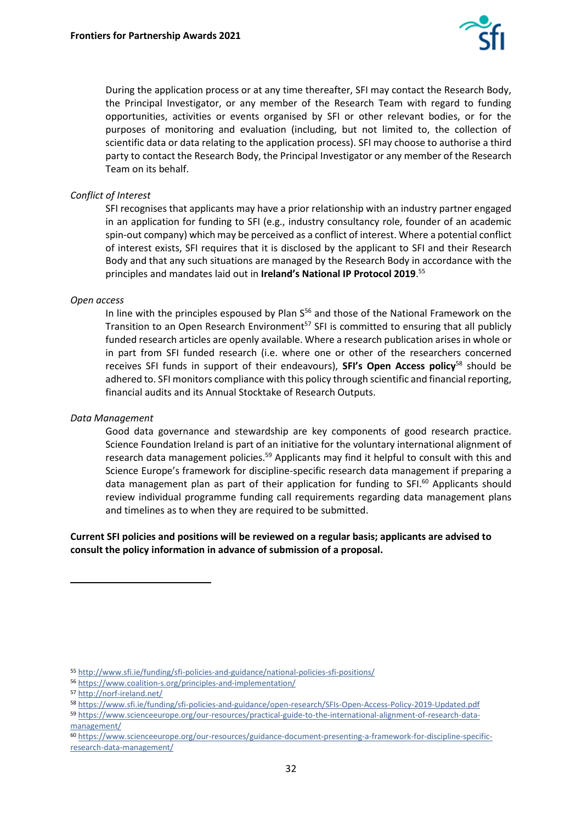

During the application process or at any time thereafter, SFI may contact the Research Body, the Principal Investigator, or any member of the Research Team with regard to funding opportunities, activities or events organised by SFI or other relevant bodies, or for the purposes of monitoring and evaluation (including, but not limited to, the collection of scientific data or data relating to the application process). SFI may choose to authorise a third party to contact the Research Body, the Principal Investigator or any member of the Research Team on its behalf.

#### *Conflict of Interest*

SFI recognises that applicants may have a prior relationship with an industry partner engaged in an application for funding to SFI (e.g., industry consultancy role, founder of an academic spin-out company) which may be perceived as a conflict of interest. Where a potential conflict of interest exists, SFI requires that it is disclosed by the applicant to SFI and their Research Body and that any such situations are managed by the Research Body in accordance with the principles and mandates laid out in **Ireland's National IP Protocol 2019**. 55

#### *Open access*

In line with the principles espoused by Plan  $S^{56}$  and those of the National Framework on the Transition to an Open Research Environment<sup>57</sup> SFI is committed to ensuring that all publicly funded research articles are openly available. Where a research publication arises in whole or in part from SFI funded research (i.e. where one or other of the researchers concerned receives SFI funds in support of their endeavours), **SFI's Open Access policy**<sup>58</sup> should be adhered to. SFI monitors compliance with this policy through scientific and financial reporting, financial audits and its Annual Stocktake of Research Outputs.

#### *Data Management*

Good data governance and stewardship are key components of good research practice. Science Foundation Ireland is part of an initiative for the voluntary international alignment of research data management policies.<sup>59</sup> Applicants may find it helpful to consult with this and Science Europe's framework for discipline-specific research data management if preparing a data management plan as part of their application for funding to SFI.<sup>60</sup> Applicants should review individual programme funding call requirements regarding data management plans and timelines as to when they are required to be submitted.

**Current SFI policies and positions will be reviewed on a regular basis; applicants are advised to consult the policy information in advance of submission of a proposal.**

<sup>55</sup> <http://www.sfi.ie/funding/sfi-policies-and-guidance/national-policies-sfi-positions/>

<sup>56</sup> <https://www.coalition-s.org/principles-and-implementation/>

<sup>57</sup> <http://norf-ireland.net/>

<sup>58</sup> <https://www.sfi.ie/funding/sfi-policies-and-guidance/open-research/SFIs-Open-Access-Policy-2019-Updated.pdf>

<sup>59</sup> [https://www.scienceeurope.org/our-resources/practical-guide-to-the-international-alignment-of-research-data](https://www.scienceeurope.org/our-resources/practical-guide-to-the-international-alignment-of-research-data-management/)[management/](https://www.scienceeurope.org/our-resources/practical-guide-to-the-international-alignment-of-research-data-management/)

<sup>60</sup> [https://www.scienceeurope.org/our-resources/guidance-document-presenting-a-framework-for-discipline-specific](https://www.scienceeurope.org/our-resources/guidance-document-presenting-a-framework-for-discipline-specific-research-data-management/)[research-data-management/](https://www.scienceeurope.org/our-resources/guidance-document-presenting-a-framework-for-discipline-specific-research-data-management/)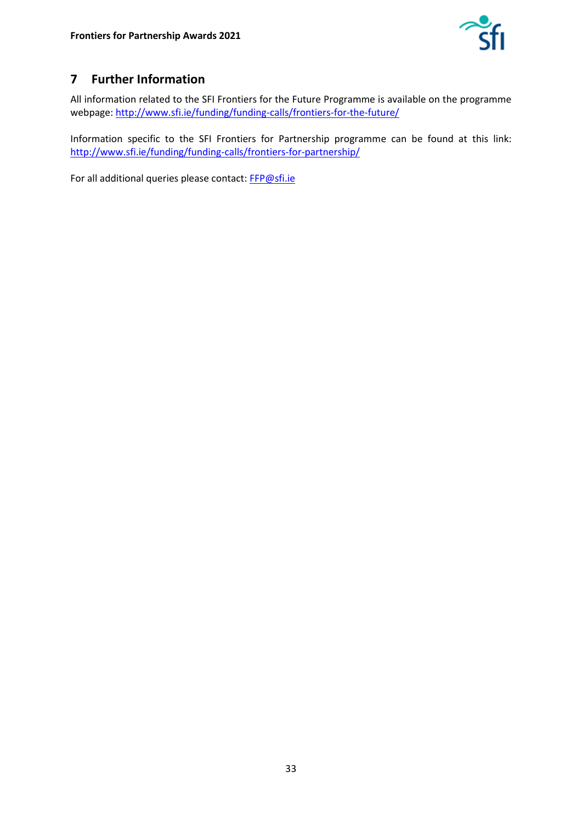

# <span id="page-32-0"></span>**7 Further Information**

All information related to the SFI Frontiers for the Future Programme is available on the programme webpage: <http://www.sfi.ie/funding/funding-calls/frontiers-for-the-future/>

Information specific to the SFI Frontiers for Partnership programme can be found at this link: <http://www.sfi.ie/funding/funding-calls/frontiers-for-partnership/>

For all additional queries please contact: [FFP@sfi.ie](mailto:FFP@SFI.ie)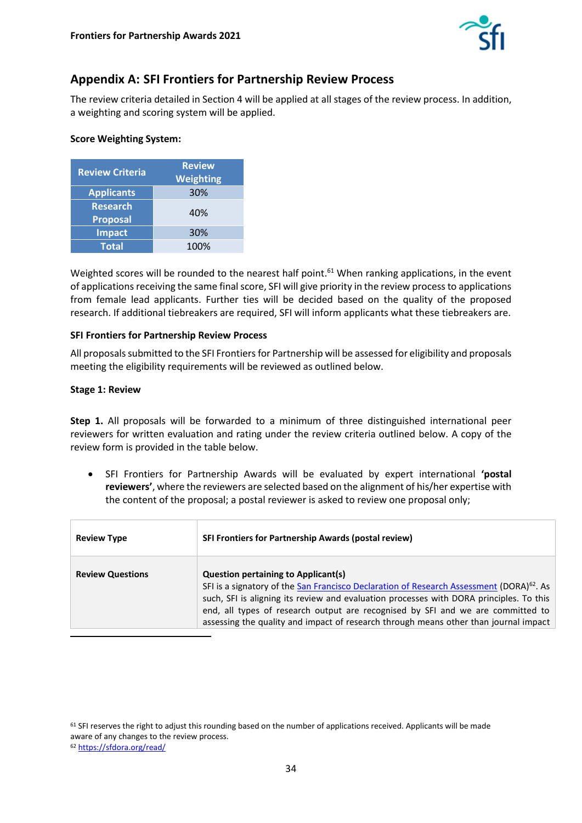

# <span id="page-33-0"></span>**Appendix A: SFI Frontiers for Partnership Review Process**

The review criteria detailed in Section 4 will be applied at all stages of the review process. In addition, a weighting and scoring system will be applied.

#### **Score Weighting System:**

| <b>Review Criteria</b>             | <b>Review</b><br><b>Weighting</b> |
|------------------------------------|-----------------------------------|
| <b>Applicants</b>                  | 30%                               |
| <b>Research</b><br><b>Proposal</b> | 40%                               |
| <b>Impact</b>                      | 30%                               |
| <b>Total</b>                       | 100%                              |

Weighted scores will be rounded to the nearest half point.<sup>61</sup> When ranking applications, in the event of applications receiving the same final score, SFI will give priority in the review process to applications from female lead applicants. Further ties will be decided based on the quality of the proposed research. If additional tiebreakers are required, SFI will inform applicants what these tiebreakers are.

#### **SFI Frontiers for Partnership Review Process**

All proposals submitted to the SFI Frontiers for Partnership will be assessed for eligibility and proposals meeting the eligibility requirements will be reviewed as outlined below.

#### **Stage 1: Review**

**Step 1.** All proposals will be forwarded to a minimum of three distinguished international peer reviewers for written evaluation and rating under the review criteria outlined below. A copy of the review form is provided in the table below.

• SFI Frontiers for Partnership Awards will be evaluated by expert international **'postal reviewers'**, where the reviewers are selected based on the alignment of his/her expertise with the content of the proposal; a postal reviewer is asked to review one proposal only;

| <b>Review Type</b>      | <b>SFI Frontiers for Partnership Awards (postal review)</b>                                                                                                                                                                                                                                                                                                                                                              |
|-------------------------|--------------------------------------------------------------------------------------------------------------------------------------------------------------------------------------------------------------------------------------------------------------------------------------------------------------------------------------------------------------------------------------------------------------------------|
| <b>Review Questions</b> | <b>Question pertaining to Applicant(s)</b><br>SFI is a signatory of the San Francisco Declaration of Research Assessment (DORA) <sup>62</sup> . As<br>such, SFI is aligning its review and evaluation processes with DORA principles. To this<br>end, all types of research output are recognised by SFI and we are committed to<br>assessing the quality and impact of research through means other than journal impact |

<sup>&</sup>lt;sup>61</sup> SFI reserves the right to adjust this rounding based on the number of applications received. Applicants will be made aware of any changes to the review process.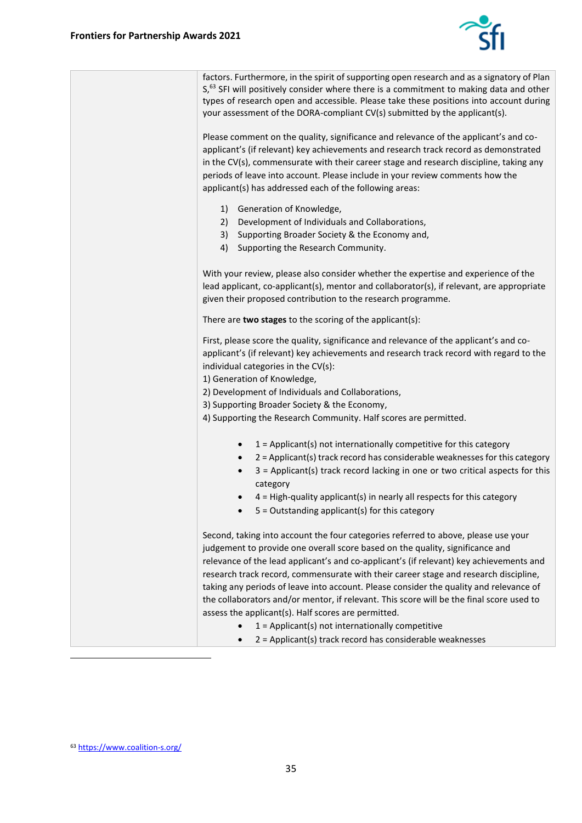

| factors. Furthermore, in the spirit of supporting open research and as a signatory of Plan<br>S, <sup>63</sup> SFI will positively consider where there is a commitment to making data and other<br>types of research open and accessible. Please take these positions into account during<br>your assessment of the DORA-compliant CV(s) submitted by the applicant(s).                                           |
|--------------------------------------------------------------------------------------------------------------------------------------------------------------------------------------------------------------------------------------------------------------------------------------------------------------------------------------------------------------------------------------------------------------------|
| Please comment on the quality, significance and relevance of the applicant's and co-<br>applicant's (if relevant) key achievements and research track record as demonstrated<br>in the CV(s), commensurate with their career stage and research discipline, taking any<br>periods of leave into account. Please include in your review comments how the<br>applicant(s) has addressed each of the following areas: |
| 1) Generation of Knowledge,<br>Development of Individuals and Collaborations,<br>2)<br>3) Supporting Broader Society & the Economy and,<br>4) Supporting the Research Community.                                                                                                                                                                                                                                   |
| With your review, please also consider whether the expertise and experience of the<br>lead applicant, co-applicant(s), mentor and collaborator(s), if relevant, are appropriate<br>given their proposed contribution to the research programme.                                                                                                                                                                    |
| There are two stages to the scoring of the applicant(s):                                                                                                                                                                                                                                                                                                                                                           |
| First, please score the quality, significance and relevance of the applicant's and co-<br>applicant's (if relevant) key achievements and research track record with regard to the<br>individual categories in the CV(s):<br>1) Generation of Knowledge,                                                                                                                                                            |
| 2) Development of Individuals and Collaborations,                                                                                                                                                                                                                                                                                                                                                                  |
| 3) Supporting Broader Society & the Economy,                                                                                                                                                                                                                                                                                                                                                                       |
| 4) Supporting the Research Community. Half scores are permitted.                                                                                                                                                                                                                                                                                                                                                   |
| $1 =$ Applicant(s) not internationally competitive for this category<br>$\bullet$<br>2 = Applicant(s) track record has considerable weaknesses for this category<br>3 = Applicant(s) track record lacking in one or two critical aspects for this<br>category                                                                                                                                                      |
| 4 = High-quality applicant(s) in nearly all respects for this category<br>$5 =$ Outstanding applicant(s) for this category                                                                                                                                                                                                                                                                                         |
| Second, taking into account the four categories referred to above, please use your<br>judgement to provide one overall score based on the quality, significance and<br>relevance of the lead applicant's and co-applicant's (if relevant) key achievements and<br>research track record, commensurate with their career stage and research discipline,                                                             |
| taking any periods of leave into account. Please consider the quality and relevance of<br>the collaborators and/or mentor, if relevant. This score will be the final score used to<br>assess the applicant(s). Half scores are permitted.                                                                                                                                                                          |
| $1 =$ Applicant(s) not internationally competitive                                                                                                                                                                                                                                                                                                                                                                 |
| 2 = Applicant(s) track record has considerable weaknesses                                                                                                                                                                                                                                                                                                                                                          |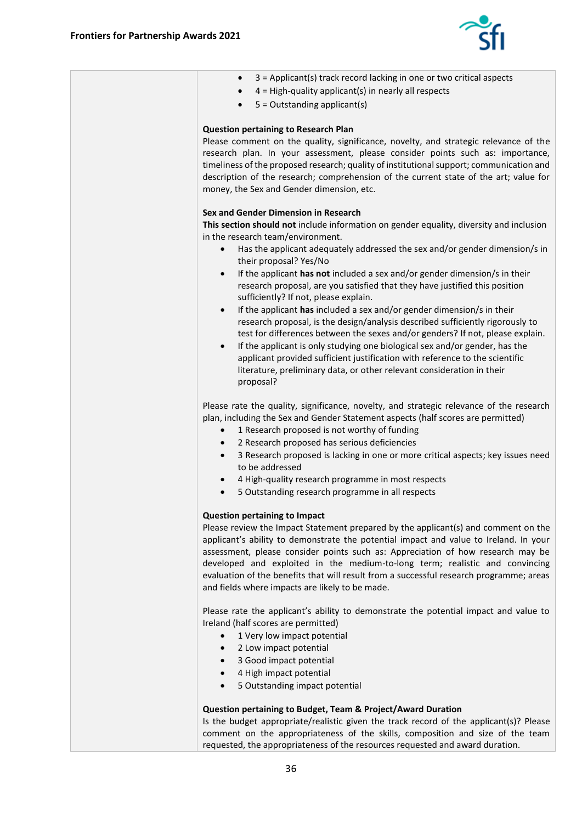

÷

| 3 = Applicant(s) track record lacking in one or two critical aspects<br>$\bullet$            |
|----------------------------------------------------------------------------------------------|
| $4 =$ High-quality applicant(s) in nearly all respects                                       |
| $5 =$ Outstanding applicant(s)                                                               |
|                                                                                              |
|                                                                                              |
| <b>Question pertaining to Research Plan</b>                                                  |
| Please comment on the quality, significance, novelty, and strategic relevance of the         |
| research plan. In your assessment, please consider points such as: importance,               |
| timeliness of the proposed research; quality of institutional support; communication and     |
| description of the research; comprehension of the current state of the art; value for        |
| money, the Sex and Gender dimension, etc.                                                    |
|                                                                                              |
| Sex and Gender Dimension in Research                                                         |
| This section should not include information on gender equality, diversity and inclusion      |
| in the research team/environment.                                                            |
| Has the applicant adequately addressed the sex and/or gender dimension/s in<br>$\bullet$     |
| their proposal? Yes/No                                                                       |
|                                                                                              |
| If the applicant has not included a sex and/or gender dimension/s in their<br>$\bullet$      |
| research proposal, are you satisfied that they have justified this position                  |
| sufficiently? If not, please explain.                                                        |
| If the applicant has included a sex and/or gender dimension/s in their<br>$\bullet$          |
| research proposal, is the design/analysis described sufficiently rigorously to               |
| test for differences between the sexes and/or genders? If not, please explain.               |
| If the applicant is only studying one biological sex and/or gender, has the<br>$\bullet$     |
| applicant provided sufficient justification with reference to the scientific                 |
| literature, preliminary data, or other relevant consideration in their                       |
| proposal?                                                                                    |
|                                                                                              |
| Please rate the quality, significance, novelty, and strategic relevance of the research      |
| plan, including the Sex and Gender Statement aspects (half scores are permitted)             |
| 1 Research proposed is not worthy of funding<br>$\bullet$                                    |
|                                                                                              |
| 2 Research proposed has serious deficiencies<br>$\bullet$                                    |
| 3 Research proposed is lacking in one or more critical aspects; key issues need<br>$\bullet$ |
| to be addressed                                                                              |
| 4 High-quality research programme in most respects<br>٠                                      |
| 5 Outstanding research programme in all respects<br>$\bullet$                                |
|                                                                                              |
| <b>Question pertaining to Impact</b>                                                         |
| Please review the Impact Statement prepared by the applicant(s) and comment on the           |
| applicant's ability to demonstrate the potential impact and value to Ireland. In your        |
| assessment, please consider points such as: Appreciation of how research may be              |
| developed and exploited in the medium-to-long term; realistic and convincing                 |
| evaluation of the benefits that will result from a successful research programme; areas      |
| and fields where impacts are likely to be made.                                              |
|                                                                                              |
| Please rate the applicant's ability to demonstrate the potential impact and value to         |
| Ireland (half scores are permitted)                                                          |
| 1 Very low impact potential<br>$\bullet$                                                     |
|                                                                                              |
| 2 Low impact potential<br>$\bullet$                                                          |
| 3 Good impact potential<br>$\bullet$                                                         |
| 4 High impact potential<br>$\bullet$                                                         |
| 5 Outstanding impact potential<br>$\bullet$                                                  |
|                                                                                              |
| <b>Question pertaining to Budget, Team &amp; Project/Award Duration</b>                      |
| Is the budget appropriate/realistic given the track record of the applicant(s)? Please       |
| comment on the appropriateness of the skills, composition and size of the team               |
| requested, the appropriateness of the resources requested and award duration.                |
|                                                                                              |